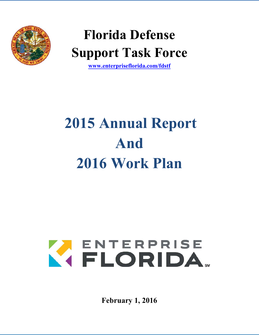

# **Florida Defense Support Task Force**

**[www.enterpriseflorida.com/fdstf](http://www.enterpriseflorida.com/fdstf)**

# **2015 Annual Report And 2016 Work Plan**

# K ENTERPRISE

**February 1, 2016**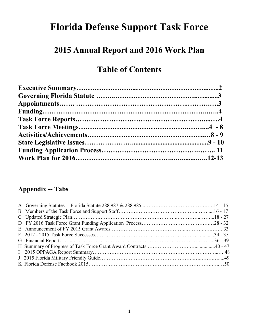# **Florida Defense Support Task Force**

# **2015 Annual Report and 2016 Work Plan**

# **Table of Contents**

# **Appendix -- Tabs**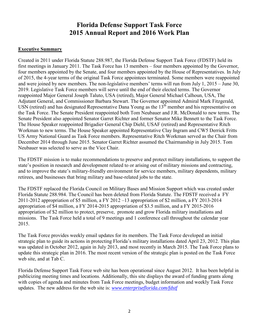#### **Florida Defense Support Task Force 2015 Annual Report and 2016 Work Plan**

#### **Executive Summary**

Created in 2011 under Florida Statute 288.987, the Florida Defense Support Task Force (FDSTF) held its first meetings in January 2011. The Task Force has 13 members – four members appointed by the Governor, four members appointed by the Senate, and four members appointed by the House of Representatives. In July of 2015, the 4-year terms of the original Task Force appointees terminated. Some members were reappointed and were joined by new members. The non-legislative members' terms will run from July 1, 2015 – June 30, 2019. Legislative Task Force members will serve until the end of their elected terms. The Governor reappointed Major General Joseph Taluto, USA (retired), Major General Michael Calhoun, USA, The Adjutant General, and Commissioner Barbara Stewart. The Governor appointed Admiral Mark Fitzgerald, USN (retired) and has designated Representative Dana Young as the  $13<sup>th</sup>$  member and his representative on the Task Force. The Senate President reappointed both Tom Neubauer and J.R. McDonald to new terms. The Senate President also appointed Senator Garret Richter and former Senator Mike Bennett to the Task Force. The House Speaker reappointed Brigadier General Chip Diehl, USAF (retired) and Representative Ritch Workman to new terms. The House Speaker appointed Representative Clay Ingram and CW5 Derrick Fritts US Army National Guard as Task Force members. Representative Ritch Workman served as the Chair from December 2014 through June 2015. Senator Garret Richter assumed the Chairmanship in July 2015. Tom Neubauer was selected to serve as the Vice Chair.

The FDSTF mission is to make recommendations to preserve and protect military installations, to support the state's position in research and development related to or arising out of military missions and contracting, and to improve the state's military-friendly environment for service members, military dependents, military retirees, and businesses that bring military and base-related jobs to the state.

The FDSTF replaced the Florida Council on Military Bases and Mission Support which was created under Florida Statute 288.984. The Council has been deleted from Florida Statute. The FDSTF received a FY 2011-2012 appropriation of \$5 million, a FY 2012 –13 appropriation of \$2 million, a FY 2013-2014 appropriation of \$4 million, a FY 2014-2015 appropriation of \$3.5 million, and a FY 2015-2016 appropriation of \$2 million to protect, preserve, promote and grow Florida military installations and missions. The Task Force held a total of 9 meetings and 1 conference call throughout the calendar year 2015.

The Task Force provides weekly email updates for its members. The Task Force developed an initial strategic plan to guide its actions in protecting Florida's military installations dated April 23, 2012. This plan was updated in October 2012, again in July 2013, and most recently in March 2015. The Task Force plans to update this strategic plan in 2016. The most recent version of the strategic plan is posted on the Task Force web site, and at Tab C.

Florida Defense Support Task Force web site has been operational since August 2012. It has been helpful in publicizing meeting times and locations. Additionally, this site displays the award of funding grants along with copies of agenda and minutes from Task Force meetings, budget information and weekly Task Force updates. The new address for the web site is: *[www.enterpriseflorida.com/fdstf](http://www.enterpriseflorida.com/fdstf)*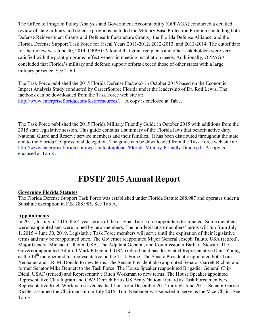The Office of Program Policy Analysis and Government Accountability (OPPAGA) conducted a detailed review of state military and defense programs included the Military Base Protection Program (Including both Defense Reinvestment Grants and Defense Infrastructure Grants), the Florida Defense Alliance, and the Florida Defense Support Task Force for Fiscal Years 2011-2012, 2012-2013, and 2013-2014. The cutoff date for the review was June 30, 2014. OPPAGA found that grant recipients and other stakeholders were very satisfied with the grant programs' effectiveness in meeting installation needs. Additionally, OPPAGA concluded that Florida's military and defense support efforts exceed those of other states with a large military presence. See Tab I.

The Task Force published the 2015 Florida Defense Factbook in October 2015 based on the Economic Impact Analysis Study conducted by CareerSource Florida under the leadership of Dr. Rod Lewis. The factbook can be downloaded from the Task Force web site at: [http://www.enterpriseflorida.com/fdstf/resources/.](http://www.enterpriseflorida.com/fdstf/resources/) A copy is enclosed at Tab J.

The Task Force published the 2015 Florida Military Friendly Guide in October 2015 with additions from the 2015 state legislative session. This guide contains a summary of the Florida laws that benefit active duty, National Guard and Reserve service members and their families. It has been distributed throughout the state and to the Florida Congressional delegation. The guide can be downloaded from the Task Force web site at: [http://www.enterpriseflorida.com/wp-content/uploads/Florida-Military-Friendly-Guide.pdf.](http://www.enterpriseflorida.com/wp-content/uploads/Florida-Military-Friendly-Guide.pdf) A copy is enclosed at Tab K.

# **FDSTF 2015 Annual Report**

#### **Governing Florida Statutes**

The Florida Defense Support Task Force was established under Florida Statute 288.987 and operates under a Sunshine exemption in F.S. 288.985. See Tab A.

#### **Appointments**

In 2015, In July of 2015, the 4-year terms of the original Task Force appointees terminated. Some members were reappointed and were joined by new members. The non-legislative members' terms will run from July 1, 2015 – June 30, 2019. Legislative Task Force members will serve until the expiration of their legislative terms and may be reappointed once. The Governor reappointed Major General Joseph Taluto, USA (retired), Major General Michael Calhoun, USA, The Adjutant General, and Commissioner Barbara Stewart. The Governor appointed Admiral Mark Fitzgerald, USN (retired) and has designated Representative Dana Young as the 13<sup>th</sup> member and his representative on the Task Force. The Senate President reappointed both Tom Neubauer and J.R. McDonald to new terms. The Senate President also appointed Senator Garrett Richter and former Senator Mike Bennett to the Task Force. The House Speaker reappointed Brigadier General Chip Diehl, USAF (retired) and Representative Ritch Workman to new terms. The House Speaker appointed Representative Clay Ingram and CW5 Derrick Fritts US Army National Guard as Task Force members. Representative Ritch Workman served as the Chair from December 2014 through June 2015. Senator Garrett Richter assumed the Chairmanship in July 2015. Tom Neubauer was selected to serve as the Vice Chair. See Tab B.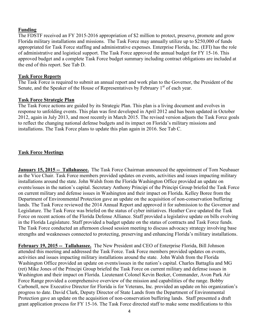#### **Funding**

The FDSTF received an FY 2015-2016 appropriation of \$2 million to protect, preserve, promote and grow Florida military installations and missions. The Task Force may annually utilize up to \$250,000 of funds appropriated for Task Force staffing and administrative expenses. Enterprise Florida, Inc. (EFI) has the role of administrative and logistical support. The Task Force approved the annual budget for FY 15-16. This approved budget and a complete Task Force budget summary including contract obligations are included at the end of this report. See Tab D.

#### **Task Force Reports**

The Task Force is required to submit an annual report and work plan to the Governor, the President of the Senate, and the Speaker of the House of Representatives by February  $1<sup>st</sup>$  of each year.

#### **Task Force Strategic Plan**

The Task Force actions are guided by its Strategic Plan. This plan is a living document and evolves in response to unfolding events. This plan was first developed in April 2012 and has been updated in October 2012, again in July 2013, and most recently in March 2015. The revised version adjusts the Task Force goals to reflect the changing national defense budgets and its impact on Florida's military missions and installations. The Task Force plans to update this plan again in 2016. See Tab C.

#### **Task Force Meetings**

**January 15, 2015 -- Tallahassee.** The Task Force Chairman announced the appointment of Tom Neubauer as the Vice Chair. Task Force members provided updates on events, activities and issues impacting military installations around the state. John Walsh from the Florida Washington Office provided an update on events/issues in the nation's capital. Secretary Anthony Principi of the Principi Group briefed the Task Force on current military and defense issues in Washington and their impact on Florida. Kelley Boree from the Department of Environmental Protection gave an update on the acquisition of non-conservation buffering lands. The Task Force reviewed the 2014 Annual Report and approved it for submission to the Governor and Legislature. The Task Force was briefed on the status of cyber initiatives. Heather Cave updated the Task Force on recent actions of the Florida Defense Alliance. Staff provided a legislative update on bills evolving in the Florida Legislature. Staff provided a budget update on the status of contracts and Task Force funds. The Task Force conducted an afternoon closed session meeting to discuss advocacy strategy involving base strengths and weaknesses connected to protecting, preserving and enhancing Florida's military installations.

**February 19, 2015 -- Tallahassee.** The New President and CEO of Enterprise Florida, Bill Johnson attended this meeting and addressed the Task Force. Task Force members provided updates on events, activities and issues impacting military installations around the state. John Walsh from the Florida Washington Office provided an update on events/issues in the nation's capital. Charles Battaglia and MG (ret) Mike Jones of the Principi Group briefed the Task Force on current military and defense issues in Washington and their impact on Florida. Lieutenant Colonel Kevin Beeker, Commander, Avon Park Air Force Range provided a comprehensive overview of the mission and capabilities of the range. Bobby Carbonell, new Executive Director for Florida is for Veterans, Inc. provided an update on his organization's progress to date. David Clark, Deputy Director of State Lands from the Department of Environmental Protection gave an update on the acquisition of non-conservation buffering lands. Staff presented a draft grant application process for FY 15-16. The Task Force directed staff to make some modifications to this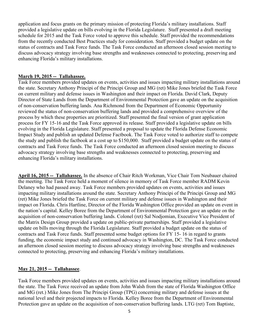application and focus grants on the primary mission of protecting Florida's military installations. Staff provided a legislative update on bills evolving in the Florida Legislature. Staff presented a draft meeting schedule for 2015 and the Task Force voted to approve this schedule. Staff provided the recommendations from the recently conducted Best Practices study for consideration. Staff provided a budget update on the status of contracts and Task Force funds. The Task Force conducted an afternoon closed session meeting to discuss advocacy strategy involving base strengths and weaknesses connected to protecting, preserving and enhancing Florida's military installations.

#### **March 19, 2015 -- Tallahassee.**

Task Force members provided updates on events, activities and issues impacting military installations around the state. Secretary Anthony Principi of the Principi Group and MG (ret) Mike Jones briefed the Task Force on current military and defense issues in Washington and their impact on Florida. David Clark, Deputy Director of State Lands from the Department of Environmental Protection gave an update on the acquisition of non-conservation buffering lands. Ana Richmond from the Department of Economic Opportunity reviewed the status of non-conservation buffering lands and provided a comprehensive overview of the process by which these properties are prioritized. Staff presented the final version of grant application process for FY 15-16 and the Task Force approved its release. Staff provided a legislative update on bills evolving in the Florida Legislature. Staff presented a proposal to update the Florida Defense Economic Impact Study and publish an updated Defense Factbook. The Task Force voted to authorize staff to compete the study and publish the factbook at a cost up to \$150,000. Staff provided a budget update on the status of contracts and Task Force funds. The Task Force conducted an afternoon closed session meeting to discuss advocacy strategy involving base strengths and weaknesses connected to protecting, preserving and enhancing Florida's military installations.

**April 16, 2015 -- Tallahassee.** In the absence of Chair Ritch Workman, Vice Chair Tom Neubauer chaired the meeting. The Task Force held a moment of silence in memory of Task Force member RADM Kevin Delaney who had passed away. Task Force members provided updates on events, activities and issues impacting military installations around the state. Secretary Anthony Principi of the Principi Group and MG (ret) Mike Jones briefed the Task Force on current military and defense issues in Washington and their impact on Florida. Chris Hartline, Director of the Florida Washington Office provided an update on event in the nation's capital. Kelley Boree from the Department of Environmental Protection gave an update on the acquisition of non-conservation buffering lands. Colonel (ret) Sal Nodjomian, Executive Vice President of the Matrix Design Group provided a update on public-private partnerships. Staff provided a legislative update on bills moving through the Florida Legislature. Staff provided a budget update on the status of contracts and Task Force funds. Staff presented some budget options for FY 15- 16 in regard to grants funding, the economic impact study and continued advocacy in Washington, DC. The Task Force conducted an afternoon closed session meeting to discuss advocacy strategy involving base strengths and weaknesses connected to protecting, preserving and enhancing Florida's military installations.

#### **May 21, 2015 -- Tallahassee**.

Task Force members provided updates on events, activities and issues impacting military installations around the state. The Task Force received an update from John Walsh from the state of Florida Washington Office and MG (ret.) Mike Jones from The Principi Group (TPG) concerning military and defense issues at the national level and their projected impacts to Florida. Kelley Boree from the Department of Environmental Protection gave an update on the acquisition of non-conservation buffering lands. LTG (ret) Tom Baptiste,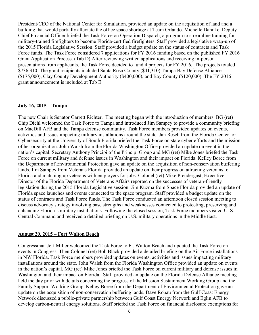President/CEO of the National Center for Simulation, provided an update on the acquisition of land and a building that would partially alleviate the office space shortage at Team Orlando. Michelle Dahnke, Deputy Chief Financial Officer briefed the Task Force on Operation Dispatch, a program to streamline training for military-trained firefighters to become Florida-certified firefighters. Staff provided a legislative wrap-up of the 2015 Florida Legislative Session. Staff provided a budget update on the status of contracts and Task Force funds. The Task Force considered 7 applications for FY 2016 funding based on the published FY 2016 Grant Application Process. (Tab D) After reviewing written applications and receiving in-person presentations from applicants, the Task Force decided to fund 4 projects for FY 2016. The projects totaled \$736,310. The grant recipients included Santa Rosa County (\$41,310) Tampa Bay Defense Alliance (\$175,000), Clay County Development Authority (\$400,000), and Bay County (\$120,000). The FY 2016 grant announcement is included at Tab E

#### **July 16, 2015 – Tampa**

The new Chair is Senator Garrett Richter. The meeting began with the introduction of members. BG (ret) Chip Diehl welcomed the Task Force to Tampa and introduced Jim Sampey to provide a community briefing on MacDill AFB and the Tampa defense community. Task Force members provided updates on events, activities and issues impacting military installations around the state. Jan Resch from the Florida Center for Cybersecurity at the University of South Florida briefed the Task Force on state cyber efforts and the mission of her organization. John Walsh from the Florida Washington Office provided an update on event in the nation's capital. Secretary Anthony Principi of the Principi Group and MG (ret) Mike Jones briefed the Task Force on current military and defense issues in Washington and their impact on Florida. Kelley Boree from the Department of Environmental Protection gave an update on the acquisition of non-conservation buffering lands. Jim Sampey from Veterans Florida provided an update on their progress on attracting veterans to Florida and matching up veterans with employers for jobs. Colonel (ret) Mike Prendergast, Executive Director of the Florida Department of Veterans Affairs reported on the successes of veteran-friendly legislation during the 2015 Florida Legislative session. Jim Kuzma from Space Florida provided an update of Florida space launches and events connected to the space program. Staff provided a budget update on the status of contracts and Task Force funds. The Task Force conducted an afternoon closed session meeting to discuss advocacy strategy involving base strengths and weaknesses connected to protecting, preserving and enhancing Florida's military installations. Following the closed session, Task Force members visited U. S. Central Command and received a detailed briefing on U.S. military operations in the Middle East.

#### **August 20, 2015 – Fort Walton Beach**

Congressman Jeff Miller welcomed the Task Force to Ft. Walton Beach and updated the Task Force on events in Congress. Then Colonel (ret) Bob Black provided a detailed briefing on the Air Force installations in NW Florida. Task Force members provided updates on events, activities and issues impacting military installations around the state. John Walsh from the Florida Washington Office provided an update on events in the nation's capital. MG (ret) Mike Jones briefed the Task Force on current military and defense issues in Washington and their impact on Florida. Staff provided an update on the Florida Defense Alliance meeting held the day prior with details concerning the progress of the Mission Sustainment Working Group and the Family Support Working Group. Kelley Boree from the Department of Environmental Protection gave an update on the acquisition of non-conservation buffering lands. Dave Robau from the Gulf Coast Energy Network discussed a public-private partnership between Gulf Coast Energy Network and Eglin AFB to develop carbon-neutral energy solutions. Staff briefed the Task Force on financial disclosure exemptions for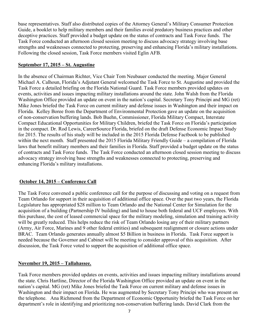base representatives. Staff also distributed copies of the Attorney General's Military Consumer Protection Guide, a booklet to help military members and their families avoid predatory business practices and other deceptive practices. Staff provided a budget update on the status of contracts and Task Force funds. The Task Force conducted an afternoon closed session meeting to discuss advocacy strategy involving base strengths and weaknesses connected to protecting, preserving and enhancing Florida's military installations. Following the closed session, Task Force members visited Eglin AFB.

#### **September 17, 2015 – St. Augustine**

In the absence of Chairman Richter, Vice Chair Tom Neubauer conducted the meeting. Major General Michael A. Calhoun, Florida's Adjutant General welcomed the Task Force to St. Augustine and provided the Task Force a detailed briefing on the Florida National Guard. Task Force members provided updates on events, activities and issues impacting military installations around the state. John Walsh from the Florida Washington Office provided an update on event in the nation's capital. Secretary Tony Principi and MG (ret) Mike Jones briefed the Task Force on current military and defense issues in Washington and their impact on Florida. Kelley Boree from the Department of Environmental Protection gave an update on the acquisition of non-conservation buffering lands. Bob Buehn, Commissioner, Florida Military Compact, Interstate Compact Educational Opportunities for Military Children, briefed the Task Force on Florida's participation in the compact. Dr. Rod Lewis, CareerSource Florida, briefed on the draft Defense Economic Impact Study for 2015. The results of his study will be included in the 2015 Florida Defense Factbook to be published within the next month. Staff presented the 2015 Florida Military Friendly Guide – a compilation of Florida laws that benefit military members and their families in Florida. Staff provided a budget update on the status of contracts and Task Force funds. The Task Force conducted an afternoon closed session meeting to discuss advocacy strategy involving base strengths and weaknesses connected to protecting, preserving and enhancing Florida's military installations.

#### **October 14, 2015 – Conference Call**

The Task Force convened a public conference call for the purpose of discussing and voting on a request from Team Orlando for support in their acquisition of additional office space. Over the past two years, the Florida Legislature has appropriated \$28 million to Team Orlando and the National Center for Simulation for the acquisition of a building (Partnership IV building) and land to house both federal and UCF employees. With this purchase, the cost of leased commercial space for the military modeling, simulation and training activity will be greatly reduced. This helps reduce the risk of Team Orlando losing any of their military partners (Army, Air Force, Marines and 9 other federal entities) and subsequent realignment or closure actions under BRAC. Team Orlando generates annually almost \$5 Billion in business in Florida. Task Force support is needed because the Governor and Cabinet will be meeting to consider approval of this acquisition. After discussion, the Task Force voted to support the acquisition of additional office space.

#### **November 19, 2015 – Tallahassee.**

Task Force members provided updates on events, activities and issues impacting military installations around the state. Chris Hartline, Director of the Florida Washington Office provided an update on event in the nation's capital. MG (ret) Mike Jones briefed the Task Force on current military and defense issues in Washington and their impact on Florida. He was augmented by Secretary Tony Principi who was present on the telephone. Ana Richmond from the Department of Economic Opportunity briefed the Task Force on her department's role in identifying and prioritizing non-conservation buffering lands. David Clark from the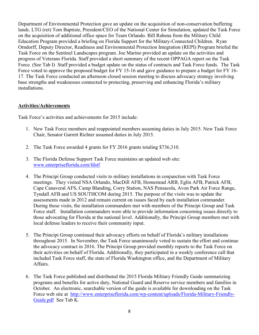Department of Environmental Protection gave an update on the acquisition of non-conservation buffering lands. LTG (ret) Tom Baptiste, President/CEO of the National Center for Simulation, updated the Task Force on the acquisition of additional office space for Team Orlando. Bill Rabena from the Military Child Education Program provided a briefing on Florida Support for the Military-Connected Children. Ryan Orndorff, Deputy Director, Readiness and Environmental Protection Integration (REPI) Program briefed the Task Force on the Sentinel Landscapes program. Joe Marino provided an update on the activities and progress of Veterans Florida. Staff provided a short summary of the recent OPPAGA report on the Task Force. (See Tab I) Staff provided a budget update on the status of contracts and Task Force funds. The Task Force voted to approve the proposed budget for FY 15-16 and gave guidance to prepare a budget for FY 16- 17. The Task Force conducted an afternoon closed session meeting to discuss advocacy strategy involving base strengths and weaknesses connected to protecting, preserving and enhancing Florida's military installations.

#### **Activities/Achievements**

Task Force's activities and achievements for 2015 include:

- 1. New Task Force members and reappointed members assuming duties in July 2015. New Task Force Chair, Senator Garrett Richter assumed duties in July 2015.
- 2. The Task Force awarded 4 grants for FY 2016 grants totaling \$736,310.
- 3. The Florida Defense Support Task Force maintains an updated web site: [www.enterpriseflorida.com/fdstf](http://www.enterpriseflorida.com/fdstf)
- 4. The Principi Group conducted visits to military installations in conjunction with Task Force meetings. They visited NSA Orlando, MacDill AFB, Homestead ARB, Eglin AFB, Patrick AFB, Cape Canaveral AFS, Camp Blanding, Corry Station, NAS Pensacola, Avon Park Air Force Range, Tyndall AFB and US SOUTHCOM during 2015. The purpose of the visits was to update the assessments made in 2012 and remain current on issues faced by each installation commander. During these visits, the installation commanders met with members of the Principi Group and Task Force staff. Installation commanders were able to provide information concerning issues directly to those advocating for Florida at the national level. Additionally, the Principi Group members met with local defense leaders to receive their community input.
- 5. The Principi Group continued their advocacy efforts on behalf of Florida's military installations throughout 2015. In November, the Task Force unanimously voted to sustain the effort and continue the advocacy contract in 2016. The Principi Group provided monthly reports to the Task Force on their activities on behalf of Florida. Additionally, they participated in a weekly conference call that included Task Force staff, the state of Florida Washington office, and the Department of Military Affairs.
- 6. The Task Force published and distributed the 2015 Florida Military Friendly Guide summarizing programs and benefits for active duty, National Guard and Reserve service members and families in October. An electronic, searchable version of the guide is available for downloading on the Task Force web site at [http://www.enterpriseflorida.com/wp-content/uploads/Florida-Military-Friendly-](http://www.enterpriseflorida.com/wp-content/uploads/Florida-Military-Friendly-Guide.pdf)[Guide.pdf](http://www.enterpriseflorida.com/wp-content/uploads/Florida-Military-Friendly-Guide.pdf) See Tab K.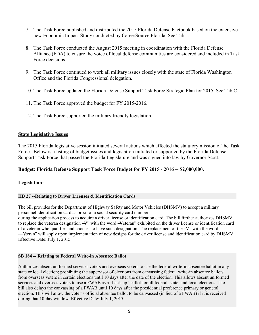- 7. The Task Force published and distributed the 2015 Florida Defense Factbook based on the extensive new Economic Impact Study conducted by CareerSource Florida. See Tab J.
- 8. The Task Force conducted the August 2015 meeting in coordination with the Florida Defense Alliance (FDA) to ensure the voice of local defense communities are considered and included in Task Force decisions.
- 9. The Task Force continued to work all military issues closely with the state of Florida Washington Office and the Florida Congressional delegation.
- 10. The Task Force updated the Florida Defense Support Task Force Strategic Plan for 2015. See Tab C.
- 11. The Task Force approved the budget for FY 2015-2016.
- 12. The Task Force supported the military friendly legislation.

#### **State Legislative Issues**

The 2015 Florida legislative session initiated several actions which affected the statutory mission of the Task Force. Below is a listing of budget issues and legislation initiated or supported by the Florida Defense Support Task Force that passed the Florida Legislature and was signed into law by Governor Scott:

#### **Budget: Florida Defense Support Task Force Budget for FY 2015 - 2016 -- \$2,000,000.**

#### **Legislation:**

#### **HB 27 --Relating to Driver Licenses & Identification Cards**

The bill provides for the Department of Highway Safety and Motor Vehicles (DHSMV) to accept a military personnel identification card as proof of a social security card number

during the application process to acquire a driver license or identification card. The bill further authorizes DHSMV to replace the veteran designation  $\vec{v}$ " with the word -Veteran" exhibited on the driver license or identification card of a veteran who qualifies and chooses to have such designation. The replacement of the  $-\mathcal{V}$  with the word —Veteran" will apply upon implementation of new designs for the driver license and identification card by DHSMV. Effective Date: July 1, 2015

#### **SB 184 -- Relating to Federal Write-in Absentee Ballot**

Authorizes absent uniformed services voters and overseas voters to use the federal write-in absentee ballot in any state or local election; prohibiting the supervisor of elections from canvassing federal write-in absentee ballots from overseas voters in certain elections until 10 days after the date of the election. This allows absent uniformed services and overseas voters to use a FWAB as a -back-up" ballot for all federal, state, and local elections. The bill also delays the canvassing of a FWAB until 10 days after the presidential preference primary or general election. This will allow the voter's official absentee ballot to be canvassed (in lieu of a FWAB) if it is received during that 10-day window. Effective Date: July 1, 2015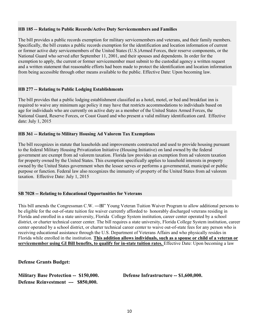#### **HB 185 -- Relating to Public Records/Active Duty Servicemembers and Families**

The bill provides a public records exemption for military servicemembers and veterans, and their family members. Specifically, the bill creates a public records exemption for the identification and location information of current or former active duty servicemembers of the United States (U.S.)Armed Forces, their reserve components, or the National Guard who served after September 11, 2001, and their spouses and dependents. In order for the exemption to apply, the current or former servicemember must submit to the custodial agency a written request and a written statement that reasonable efforts had been made to protect the identification and location information from being accessible through other means available to the public. Effective Date: Upon becoming law.

#### **HB 277 -- Relating to Public Lodging Establishments**

The bill provides that a public lodging establishment classified as a hotel, motel, or bed and breakfast inn is required to waive any minimum age policy it may have that restricts accommodations to individuals based on age for individuals who are currently on active duty as a member of the United States Armed Forces, the National Guard, Reserve Forces, or Coast Guard and who present a valid military identification card. Effective date: July 1, 2015

#### **HB 361 -- Relating to Military Housing Ad Valorem Tax Exemptions**

The bill recognizes in statute that leaseholds and improvements constructed and used to provide housing pursuant to the federal Military Housing Privatization Initiative (Housing Initiative) on land owned by the federal government are exempt from ad valorem taxation. Florida law provides an exemption from ad valorem taxation for property owned by the United States. This exemption specifically applies to leasehold interests in property owned by the United States government when the lessee serves or performs a governmental, municipal or public purpose or function. Federal law also recognizes the immunity of property of the United States from ad valorem taxation. Effective Date: July 1, 2015

#### **SB 7028 -- Relating to Educational Opportunities for Veterans**

This bill amends the Congressman C.W. —BI" Young Veteran Tuition Waiver Program to allow additional persons to be eligible for the out-of-state tuition fee waiver currently afforded to honorably discharged veterans residing in Florida and enrolled in a state university, Florida College System institution, career center operated by a school district, or charter technical career center. The bill requires a state university, Florida College System institution, career center operated by a school district, or charter technical career center to waive out-of-state fees for any person who is receiving educational assistance through the U.S. Department of Veterans Affairs and who physically resides in Florida while enrolled in the institution. **This addition allows individuals, such as a spouse or child of a veteran or servicemember using GI Bill benefits, to qualify for in-state tuition rates.** Effective Date: Upon becoming a law

**Defense Grants Budget:** 

**Military Base Protection -- \$150,000. Defense Infrastructure -- \$1,600,000. Defense Reinvestment --- \$850,000.**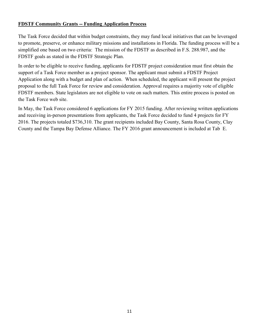#### **FDSTF Community Grants -- Funding Application Process**

The Task Force decided that within budget constraints, they may fund local initiatives that can be leveraged to promote, preserve, or enhance military missions and installations in Florida. The funding process will be a simplified one based on two criteria: The mission of the FDSTF as described in F.S. 288.987, and the FDSTF goals as stated in the FDSTF Strategic Plan.

In order to be eligible to receive funding, applicants for FDSTF project consideration must first obtain the support of a Task Force member as a project sponsor. The applicant must submit a FDSTF Project Application along with a budget and plan of action. When scheduled, the applicant will present the project proposal to the full Task Force for review and consideration. Approval requires a majority vote of eligible FDSTF members. State legislators are not eligible to vote on such matters. This entire process is posted on the Task Force web site.

In May, the Task Force considered 6 applications for FY 2015 funding. After reviewing written applications and receiving in-person presentations from applicants, the Task Force decided to fund 4 projects for FY 2016. The projects totaled \$736,310. The grant recipients included Bay County, Santa Rosa County, Clay County and the Tampa Bay Defense Alliance. The FY 2016 grant announcement is included at Tab E.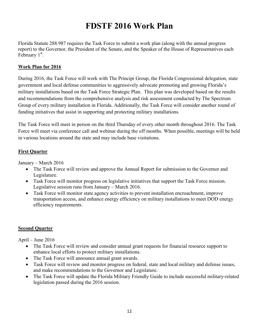# **FDSTF 2016 Work Plan**

Florida Statute 288.987 requires the Task Force to submit a work plan (along with the annual progress report) to the Governor, the President of the Senate, and the Speaker of the House of Representatives each February 1<sup>st</sup>.

#### **Work Plan for 2016**

During 2016, the Task Force will work with The Principi Group, the Florida Congressional delegation, state government and local defense communities to aggressively advocate promoting and growing Florida's military installations based on the Task Force Strategic Plan. This plan was developed based on the results and recommendations from the comprehensive analysis and risk assessment conducted by The Spectrum Group of every military installation in Florida. Additionally, the Task Force will consider another round of funding initiatives that assist in supporting and protecting military installations.

The Task Force will meet in person on the third Thursday of every other month throughout 2016. The Task Force will meet via conference call and webinar during the off months. When possible, meetings will be held in various locations around the state and may include base visitations.

#### **First Quarter**

January – March 2016

- The Task Force will review and approve the Annual Report for submission to the Governor and Legislature.
- Task Force will monitor progress on legislative initiatives that support the Task Force mission. Legislative session runs from January – March 2016.
- Task Force will monitor state agency activities to prevent installation encroachment, improve transportation access, and enhance energy efficiency on military installations to meet DOD energy efficiency requirements.

#### **Second Quarter**

April – June 2016

- The Task Force will review and consider annual grant requests for financial resource support to enhance local efforts to protect military installations.
- The Task Force will announce annual grant awards.
- Task Force will review and monitor progress on federal, state and local military and defense issues, and make recommendations to the Governor and Legislature.
- The Task Force will update the Florida Military Friendly Guide to include successful military-related legislation passed during the 2016 session.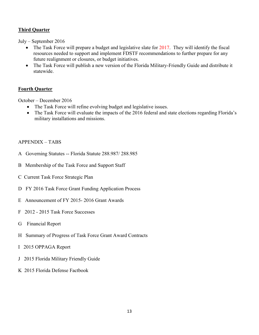#### **Third Quarter**

July – September 2016

- $\bullet$  The Task Force will prepare a budget and legislative slate for 2017. They will identify the fiscal resources needed to support and implement FDSTF recommendations to further prepare for any future realignment or closures, or budget initiatives.
- The Task Force will publish a new version of the Florida Military-Friendly Guide and distribute it statewide.

#### **Fourth Quarter**

October – December 2016

- The Task Force will refine evolving budget and legislative issues.
- The Task Force will evaluate the impacts of the 2016 federal and state elections regarding Florida's military installations and missions.

#### APPENDIX – TABS

- A Governing Statutes -- Florida Statute 288.987/ 288.985
- B Membership of the Task Force and Support Staff
- C Current Task Force Strategic Plan
- D FY 2016 Task Force Grant Funding Application Process
- E Announcement of FY 2015- 2016 Grant Awards
- F 2012 2015 Task Force Successes
- G Financial Report
- H Summary of Progress of Task Force Grant Award Contracts
- I 2015 OPPAGA Report
- J 2015 Florida Military Friendly Guide
- K 2015 Florida Defense Factbook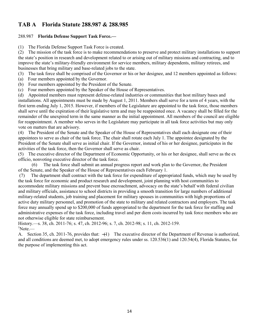#### **TAB A Florida Statute 288.987 & 288.985**

#### 288.987 **Florida Defense Support Task Force.—**

(1) The Florida Defense Support Task Force is created.

(2) The mission of the task force is to make recommendations to preserve and protect military installations to support the state's position in research and development related to or arising out of military missions and contracting, and to improve the state's military-friendly environment for service members, military dependents, military retirees, and businesses that bring military and base-related jobs to the state.

(3) The task force shall be comprised of the Governor or his or her designee, and 12 members appointed as follows:

- (a) Four members appointed by the Governor.
- (b) Four members appointed by the President of the Senate.
- (c) Four members appointed by the Speaker of the House of Representatives.

(d) Appointed members must represent defense-related industries or communities that host military bases and installations. All appointments must be made by August 1, 2011. Members shall serve for a term of 4 years, with the first term ending July 1, 2015. However, if members of the Legislature are appointed to the task force, those members shall serve until the expiration of their legislative term and may be reappointed once. A vacancy shall be filled for the remainder of the unexpired term in the same manner as the initial appointment. All members of the council are eligible for reappointment. A member who serves in the Legislature may participate in all task force activities but may only vote on matters that are advisory.

(4) The President of the Senate and the Speaker of the House of Representatives shall each designate one of their appointees to serve as chair of the task force. The chair shall rotate each July 1. The appointee designated by the President of the Senate shall serve as initial chair. If the Governor, instead of his or her designee, participates in the activities of the task force, then the Governor shall serve as chair.

(5) The executive director of the Department of Economic Opportunity, or his or her designee, shall serve as the ex officio, nonvoting executive director of the task force.

(6) The task force shall submit an annual progress report and work plan to the Governor, the President of the Senate, and the Speaker of the House of Representatives each February 1.

(7) The department shall contract with the task force for expenditure of appropriated funds, which may be used by the task force for economic and product research and development, joint planning with host communities to accommodate military missions and prevent base encroachment, advocacy on the state's behalf with federal civilian and military officials, assistance to school districts in providing a smooth transition for large numbers of additional military-related students, job training and placement for military spouses in communities with high proportions of active duty military personnel, and promotion of the state to military and related contractors and employers. The task force may annually spend up to \$200,000 of funds appropriated to the department for the task force for staffing and administrative expenses of the task force, including travel and per diem costs incurred by task force members who are not otherwise eligible for state reimbursement.

History.—s. 38, ch. 2011-76; s. 47, ch. 2012-96; s. 7, ch. 2012-98; s. 11, ch. 2012-159.  $\mathrm{Note.}$ 

A. Section 35, ch. 2011-76, provides that:  $\leftarrow$  The executive director of the Department of Revenue is authorized, and all conditions are deemed met, to adopt emergency rules under ss. 120.536(1) and 120.54(4), Florida Statutes, for the purpose of implementing this act.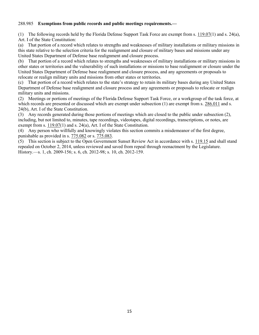#### 288.985 **Exemptions from public records and public meetings requirements.—**

(1) The following records held by the Florida Defense Support Task Force are exempt from s. [119.07\(](http://www.leg.state.fl.us/Statutes/index.cfm?App_mode=Display_Statute&Search_String=&URL=0100-0199/0119/Sections/0119.07.html)1) and s. 24(a), Art. I of the State Constitution:

(a) That portion of a record which relates to strengths and weaknesses of military installations or military missions in this state relative to the selection criteria for the realignment and closure of military bases and missions under any United States Department of Defense base realignment and closure process.

(b) That portion of a record which relates to strengths and weaknesses of military installations or military missions in other states or territories and the vulnerability of such installations or missions to base realignment or closure under the United States Department of Defense base realignment and closure process, and any agreements or proposals to relocate or realign military units and missions from other states or territories.

(c) That portion of a record which relates to the state's strategy to retain its military bases during any United States Department of Defense base realignment and closure process and any agreements or proposals to relocate or realign military units and missions.

(2) Meetings or portions of meetings of the Florida Defense Support Task Force, or a workgroup of the task force, at which records are presented or discussed which are exempt under subsection (1) are exempt from s. [286.011](http://www.leg.state.fl.us/Statutes/index.cfm?App_mode=Display_Statute&Search_String=&URL=0200-0299/0286/Sections/0286.011.html) and s. 24(b), Art. I of the State Constitution.

(3) Any records generated during those portions of meetings which are closed to the public under subsection (2), including, but not limited to, minutes, tape recordings, videotapes, digital recordings, transcriptions, or notes, are exempt from s. [119.07\(](http://www.leg.state.fl.us/Statutes/index.cfm?App_mode=Display_Statute&Search_String=&URL=0100-0199/0119/Sections/0119.07.html)1) and s. 24(a), Art. I of the State Constitution.

(4) Any person who willfully and knowingly violates this section commits a misdemeanor of the first degree, punishable as provided in s. [775.082](http://www.leg.state.fl.us/Statutes/index.cfm?App_mode=Display_Statute&Search_String=&URL=0700-0799/0775/Sections/0775.082.html) or s. [775.083.](http://www.leg.state.fl.us/Statutes/index.cfm?App_mode=Display_Statute&Search_String=&URL=0700-0799/0775/Sections/0775.083.html)

(5) This section is subject to the Open Government Sunset Review Act in accordance with s. [119.15](http://www.leg.state.fl.us/Statutes/index.cfm?App_mode=Display_Statute&Search_String=&URL=0100-0199/0119/Sections/0119.15.html) and shall stand repealed on October 2, 2014, unless reviewed and saved from repeal through reenactment by the Legislature. History.—s. 1, ch. 2009-156; s. 6, ch. 2012-98; s. 10, ch. 2012-159.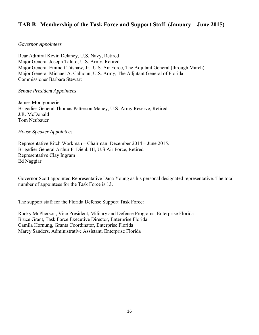#### **TAB B Membership of the Task Force and Support Staff (January – June 2015)**

#### *Governor Appointees*

Rear Admiral Kevin Delaney, U.S. Navy, Retired Major General Joseph Taluto, U.S. Army, Retired Major General Emmett Titshaw, Jr., U.S. Air Force, The Adjutant General (through March) Major General Michael A. Calhoun, U.S. Army, The Adjutant General of Florida Commissioner Barbara Stewart

*Senate President Appointees* 

James Montgomerie Brigadier General Thomas Patterson Maney, U.S. Army Reserve, Retired J.R. McDonald Tom Neubauer

*House Speaker Appointees* 

Representative Ritch Workman – Chairman: December 2014 – June 2015. Brigadier General Arthur F. Diehl, III, U.S Air Force, Retired Representative Clay Ingram Ed Naggiar

Governor Scott appointed Representative Dana Young as his personal designated representative. The total number of appointees for the Task Force is 13.

The support staff for the Florida Defense Support Task Force:

Rocky McPherson, Vice President, Military and Defense Programs, Enterprise Florida Bruce Grant, Task Force Executive Director, Enterprise Florida Camila Hornung, Grants Coordinator, Enterprise Florida Marcy Sanders, Administrative Assistant, Enterprise Florida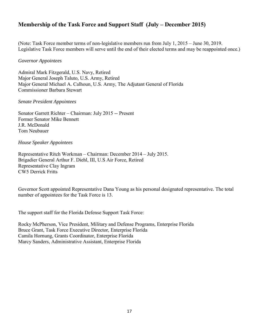#### **Membership of the Task Force and Support Staff (July – December 2015)**

(Note: Task Force member terms of non-legislative members run from July 1, 2015 – June 30, 2019. Legislative Task Force members will serve until the end of their elected terms and may be reappointed once.)

#### *Governor Appointees*

Admiral Mark Fitzgerald, U.S. Navy, Retired Major General Joseph Taluto, U.S. Army, Retired Major General Michael A. Calhoun, U.S. Army, The Adjutant General of Florida Commissioner Barbara Stewart

#### *Senate President Appointees*

Senator Garrett Richter – Chairman: July 2015 -- Present Former Senator Mike Bennett J.R. McDonald Tom Neubauer

#### *House Speaker Appointees*

Representative Ritch Workman – Chairman: December 2014 – July 2015. Brigadier General Arthur F. Diehl, III, U.S Air Force, Retired Representative Clay Ingram CW5 Derrick Fritts

Governor Scott appointed Representative Dana Young as his personal designated representative. The total number of appointees for the Task Force is 13.

The support staff for the Florida Defense Support Task Force:

Rocky McPherson, Vice President, Military and Defense Programs, Enterprise Florida Bruce Grant, Task Force Executive Director, Enterprise Florida Camila Hornung, Grants Coordinator, Enterprise Florida Marcy Sanders, Administrative Assistant, Enterprise Florida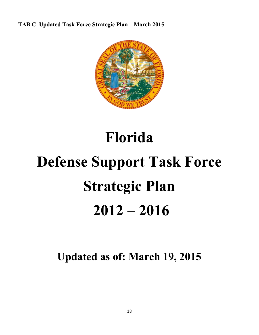**TAB C Updated Task Force Strategic Plan – March 2015** 



# **Florida Defense Support Task Force Strategic Plan 2012 – 2016**

**Updated as of: March 19, 2015**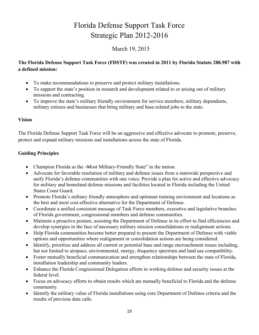# Florida Defense Support Task Force Strategic Plan 2012-2016

#### March 19, 2015

#### **The Florida Defense Support Task Force (FDSTF) was created in 2011 by Florida Statute 288.987 with a defined mission:**

- To make recommendations to preserve and protect military installations.
- To support the state's position in research and development related to or arising out of military missions and contracting.
- To improve the state's military friendly environment for service members, military dependents, military retirees and businesses that bring military and base-related jobs to the state.

#### **Vision**

The Florida Defense Support Task Force will be an aggressive and effective advocate to promote, preserve, protect and expand military missions and installations across the state of Florida.

#### **Guiding Principles**

- Champion Florida as the -Most Military-Friendly State" in the nation.
- Advocate for favorable resolution of military and defense issues from a statewide perspective and unify Florida's defense communities with one voice. Provide a plan for active and effective advocacy for military and homeland defense missions and facilities located in Florida including the United States Coast Guard.
- Promote Florida's military friendly atmosphere and optimum training environment and locations as the best and most cost-effective alternative for the Department of Defense.
- Coordinate a unified consistent message of Task Force members, executive and legislative branches of Florida government, congressional members and defense communities.
- Maintain a proactive posture, assisting the Department of Defense in its effort to find efficiencies and develop synergies in the face of necessary military mission consolidations or realignment actions.
- Help Florida communities become better prepared to present the Department of Defense with viable options and opportunities where realignment or consolidation actions are being considered.
- Identify, prioritize and address all current or potential base and range encroachment issues including, but not limited to airspace, environmental, energy, frequency spectrum and land use compatibility.
- Foster mutually beneficial communication and strengthen relationships between the state of Florida, installation leadership and community leaders.
- Enhance the Florida Congressional Delegation efforts in working defense and security issues at the federal level.
- Focus on advocacy efforts to obtain results which are mutually beneficial to Florida and the defense community.
- Identify the military value of Florida installations using core Department of Defense criteria and the results of previous data calls.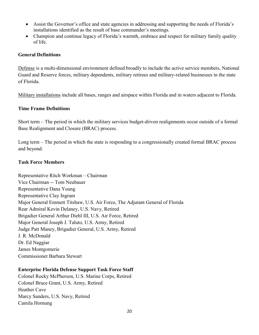- Assist the Governor's office and state agencies in addressing and supporting the needs of Florida's installations identified as the result of base commander's meetings.
- Champion and continue legacy of Florida's warmth, embrace and respect for military family quality of life.

#### **General Definitions**

Defense is a multi-dimensional environment defined broadly to include the active service members, National Guard and Reserve forces, military dependents, military retirees and military-related businesses in the state of Florida.

Military installations include all bases, ranges and airspace within Florida and in waters adjacent to Florida.

#### **Time Frame Definitions**

Short term – The period in which the military services budget-driven realignments occur outside of a formal Base Realignment and Closure (BRAC) process.

Long term – The period in which the state is responding to a congressionally created formal BRAC process and beyond.

#### **Task Force Members**

Representative Ritch Workman – Chairman Vice Chairman -- Tom Neubauer Representative Dana Young Representative Clay Ingram Major General Emmett Titshaw, U.S. Air Force, The Adjutant General of Florida Rear Admiral Kevin Delaney, U.S. Navy, Retired Brigadier General Arthur Diehl III, U.S. Air Force, Retired Major General Joseph J. Taluto, U.S. Army, Retired Judge Patt Maney, Brigadier General, U.S. Army, Retired J. R. McDonald Dr. Ed Naggiar James Montgomerie Commissioner Barbara Stewart

#### **Enterprise Florida Defense Support Task Force Staff**

Colonel Rocky McPherson, U.S. Marine Corps, Retired Colonel Bruce Grant, U.S. Army, Retired Heather Cave Marcy Sanders, U.S. Navy, Retired Camila Hornung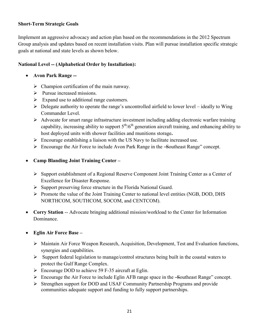#### **Short-Term Strategic Goals**

Implement an aggressive advocacy and action plan based on the recommendations in the 2012 Spectrum Group analysis and updates based on recent installation visits. Plan will pursue installation specific strategic goals at national and state levels as shown below.

#### **National Level -- (Alphabetical Order by Installation):**

- **Avon Park Range --**
	- $\triangleright$  Champion certification of the main runway.
	- $\triangleright$  Pursue increased missions.
	- $\triangleright$  Expand use to additional range customers.
	- $\triangleright$  Delegate authority to operate the range's uncontrolled airfield to lower level ideally to Wing Commander Level.
	- $\triangleright$  Advocate for smart range infrastructure investment including adding electronic warfare training capability, increasing ability to support  $5<sup>th</sup>/6<sup>th</sup>$  generation aircraft training, and enhancing ability to host deployed units with shower facilities and munitions storage**.**
	- $\triangleright$  Encourage establishing a liaison with the US Navy to facilitate increased use.
	- $\triangleright$  Encourage the Air Force to include Avon Park Range in the -Southeast Range" concept.

#### **Camp Blanding Joint Training Center –**

- Support establishment of a Regional Reserve Component Joint Training Center as a Center of Excellence for Disaster Response.
- $\triangleright$  Support preserving force structure in the Florida National Guard.
- Promote the value of the Joint Training Center to national level entities (NGB, DOD, DHS NORTHCOM, SOUTHCOM, SOCOM, and CENTCOM).
- Corry Station -- Advocate bringing additional mission/workload to the Center for Information Dominance.
- **Eglin Air Force Base –**
	- $\triangleright$  Maintain Air Force Weapon Research, Acquisition, Development, Test and Evaluation functions, synergies and capabilities.
	- $\triangleright$  Support federal legislation to manage/control structures being built in the coastal waters to protect the Gulf Range Complex.
	- $\triangleright$  Encourage DOD to achieve 59 F-35 aircraft at Eglin.
	- $\triangleright$  Encourage the Air Force to include Eglin AFB range space in the -Southeast Range" concept.
	- Strengthen support for DOD and USAF Community Partnership Programs and provide communities adequate support and funding to fully support partnerships.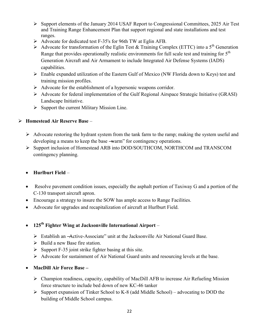- Support elements of the January 2014 USAF Report to Congressional Committees, 2025 Air Test and Training Range Enhancement Plan that support regional and state installations and test ranges.
- Advocate for dedicated test F-35's for 96th TW at Eglin AFB.
- Advocate for transformation of the Eglin Test & Training Complex (ETTC) into a  $5<sup>th</sup>$  Generation Range that provides operationally realistic environments for full scale test and training for  $5<sup>th</sup>$ Generation Aircraft and Air Armament to include Integrated Air Defense Systems (IADS) capabilities.
- $\triangleright$  Enable expanded utilization of the Eastern Gulf of Mexico (NW Florida down to Keys) test and training mission profiles.
- $\triangleright$  Advocate for the establishment of a hypersonic weapons corridor.
- Advocate for federal implementation of the Gulf Regional Airspace Strategic Initiative (GRASI) Landscape Initiative.
- Support the current Military Mission Line.

#### **Homestead Air Reserve Base** –

- $\triangleright$  Advocate restoring the hydrant system from the tank farm to the ramp; making the system useful and developing a means to keep the base —warm" for contingency operations.
- Support inclusion of Homestead ARB into DOD/SOUTHCOM, NORTHCOM and TRANSCOM contingency planning.

#### **Hurlburt Field** –

- Resolve pavement condition issues, especially the asphalt portion of Taxiway G and a portion of the C-130 transport aircraft apron.
- Encourage a strategy to insure the SOW has ample access to Range Facilities.
- Advocate for upgrades and recapitalization of aircraft at Hurlburt Field.
- **125th Fighter Wing at Jacksonville International Airport**
	- ▶ Establish an -Active-Associate" unit at the Jacksonville Air National Guard Base.
	- $\triangleright$  Build a new Base fire station.
	- $\triangleright$  Support F-35 joint strike fighter basing at this site.
	- Advocate for sustainment of Air National Guard units and resourcing levels at the base.
- **MacDill Air Force Base –**
	- Champion readiness, capacity, capability of MacDill AFB to increase Air Refueling Mission force structure to include bed down of new KC-46 tanker
	- $\triangleright$  Support expansion of Tinker School to K-8 (add Middle School) advocating to DOD the building of Middle School campus.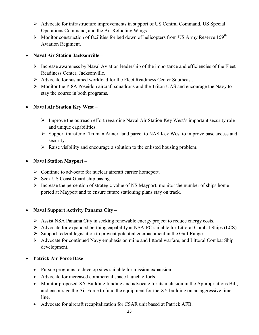- $\triangleright$  Advocate for infrastructure improvements in support of US Central Command, US Special Operations Command, and the Air Refueling Wings.
- $\triangleright$  Monitor construction of facilities for bed down of helicopters from US Army Reserve 159<sup>th</sup> Aviation Regiment.

#### **Naval Air Station Jacksonville** –

- $\triangleright$  Increase awareness by Naval Aviation leadership of the importance and efficiencies of the Fleet Readiness Center, Jacksonville.
- $\triangleright$  Advocate for sustained workload for the Fleet Readiness Center Southeast.
- Monitor the P-8A Poseidon aircraft squadrons and the Triton UAS and encourage the Navy to stay the course in both programs.

#### **Naval Air Station Key West** –

- $\triangleright$  Improve the outreach effort regarding Naval Air Station Key West's important security role and unique capabilities.
- $\triangleright$  Support transfer of Truman Annex land parcel to NAS Key West to improve base access and security.
- $\triangleright$  Raise visibility and encourage a solution to the enlisted housing problem.

#### **Naval Station Mayport –**

- Continue to advocate for nuclear aircraft carrier homeport.
- $\triangleright$  Seek US Coast Guard ship basing.
- $\triangleright$  Increase the perception of strategic value of NS Mayport; monitor the number of ships home ported at Mayport and to ensure future stationing plans stay on track.

#### **Naval Support Activity Panama City** –

- Assist NSA Panama City in seeking renewable energy project to reduce energy costs.
- $\triangleright$  Advocate for expanded berthing capability at NSA-PC suitable for Littoral Combat Ships (LCS).
- $\triangleright$  Support federal legislation to prevent potential encroachment in the Gulf Range.
- $\triangleright$  Advocate for continued Navy emphasis on mine and littoral warfare, and Littoral Combat Ship development.

#### **Patrick Air Force Base –**

- Pursue programs to develop sites suitable for mission expansion.
- Advocate for increased commercial space launch efforts.
- Monitor proposed XY Building funding and advocate for its inclusion in the Appropriations Bill, and encourage the Air Force to fund the equipment for the XY building on an aggressive time line.
- Advocate for aircraft recapitalization for CSAR unit based at Patrick AFB.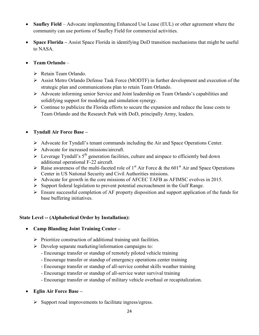- **Saufley Field** Advocate implementing Enhanced Use Lease (EUL) or other agreement where the community can use portions of Saufley Field for commercial activities.
- **Space Florida –** Assist Space Florida in identifying DoD transition mechanisms that might be useful to NASA.

#### **Team Orlando** –

- ▶ Retain Team Orlando.
- $\triangleright$  Assist Metro Orlando Defense Task Force (MODTF) in further development and execution of the strategic plan and communications plan to retain Team Orlando.
- Advocate informing senior Service and Joint leadership on Team Orlando's capabilities and solidifying support for modeling and simulation synergy.
- $\triangleright$  Continue to publicize the Florida efforts to secure the expansion and reduce the lease costs to Team Orlando and the Research Park with DoD, principally Army, leaders.

#### **Tyndall Air Force Base –**

- $\triangleright$  Advocate for Tyndall's tenant commands including the Air and Space Operations Center.
- Advocate for increased missions/aircraft.
- Everage Tyndall's  $5<sup>th</sup>$  generation facilities, culture and airspace to efficiently bed down additional operational F-22 aircraft.
- $\triangleright$  Raise awareness of the multi-faceted role of 1<sup>st</sup> Air Force & the 601<sup>st</sup> Air and Space Operations Center in US National Security and Civil Authorities missions.
- $\triangleright$  Advocate for growth in the core missions of AFCEC TAFB as AFIMSC evolves in 2015.
- $\triangleright$  Support federal legislation to prevent potential encroachment in the Gulf Range.
- $\triangleright$  Ensure successful completion of AF property disposition and support application of the funds for base buffering initiatives.

#### **State Level -- (Alphabetical Order by Installation):**

- **Camp Blanding Joint Training Center** 
	- $\triangleright$  Prioritize construction of additional training unit facilities.
	- $\triangleright$  Develop separate marketing/information campaigns to:
		- Encourage transfer or standup of remotely piloted vehicle training
		- Encourage transfer or standup of emergency operations center training
		- Encourage transfer or standup of all-service combat skills weather training
		- Encourage transfer or standup of all-service water survival training
		- Encourage transfer or standup of military vehicle overhaul or recapitalization.
- **Eglin Air Force Base** 
	- $\triangleright$  Support road improvements to facilitate ingress/egress.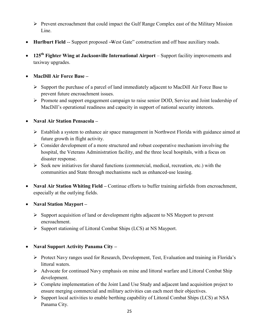- Prevent encroachment that could impact the Gulf Range Complex east of the Military Mission Line.
- Hurlburt Field -- Support proposed -West Gate" construction and off base auxiliary roads.
- **125th Fighter Wing at Jacksonville International Airport**  Support facility improvements and taxiway upgrades.

#### **MacDill Air Force Base –**

- $\triangleright$  Support the purchase of a parcel of land immediately adjacent to MacDill Air Force Base to prevent future encroachment issues.
- Promote and support engagement campaign to raise senior DOD, Service and Joint leadership of MacDill's operational readiness and capacity in support of national security interests.

#### **Naval Air Station Pensacola –**

- Establish a system to enhance air space management in Northwest Florida with guidance aimed at future growth in flight activity.
- $\triangleright$  Consider development of a more structured and robust cooperative mechanism involving the hospital, the Veterans Administration facility, and the three local hospitals, with a focus on disaster response.
- $\triangleright$  Seek new initiatives for shared functions (commercial, medical, recreation, etc.) with the communities and State through mechanisms such as enhanced-use leasing.
- **Naval Air Station Whiting Field –** Continue efforts to buffer training airfields from encroachment, especially at the outlying fields.
- **Naval Station Mayport –**
	- $\triangleright$  Support acquisition of land or development rights adjacent to NS Mayport to prevent encroachment.
	- $\triangleright$  Support stationing of Littoral Combat Ships (LCS) at NS Mayport.

#### **Naval Support Activity Panama City –**

- Protect Navy ranges used for Research, Development, Test, Evaluation and training in Florida's littoral waters.
- $\triangleright$  Advocate for continued Navy emphasis on mine and littoral warfare and Littoral Combat Ship development.
- $\triangleright$  Complete implementation of the Joint Land Use Study and adjacent land acquisition project to ensure merging commercial and military activities can each meet their objectives.
- $\triangleright$  Support local activities to enable berthing capability of Littoral Combat Ships (LCS) at NSA Panama City.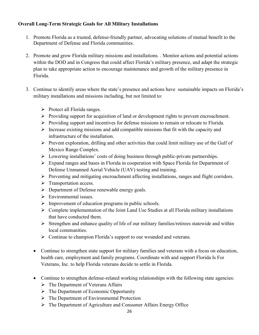#### **Overall Long-Term Strategic Goals for All Military Installations**

- 1. Promote Florida as a trusted, defense-friendly partner, advocating solutions of mutual benefit to the Department of Defense and Florida communities.
- 2. Promote and grow Florida military missions and installations. . Monitor actions and potential actions within the DOD and in Congress that could affect Florida's military presence, and adapt the strategic plan to take appropriate action to encourage maintenance and growth of the military presence in Florida.
- 3. Continue to identify areas where the state's presence and actions have sustainable impacts on Florida's military installations and missions including, but not limited to:
	- $\triangleright$  Protect all Florida ranges.
	- $\triangleright$  Providing support for acquisition of land or development rights to prevent encroachment.
	- $\triangleright$  Providing support and incentives for defense missions to remain or relocate to Florida.
	- $\triangleright$  Increase existing missions and add compatible missions that fit with the capacity and infrastructure of the installation.
	- $\triangleright$  Prevent exploration, drilling and other activities that could limit military use of the Gulf of Mexico Range Complex.
	- $\triangleright$  Lowering installations' costs of doing business through public-private partnerships.
	- Expand ranges and bases in Florida in cooperation with Space Florida for Department of Defense Unmanned Aerial Vehicle (UAV) testing and training.
	- Preventing and mitigating encroachment affecting installations, ranges and flight corridors.
	- $\triangleright$  Transportation access.
	- $\triangleright$  Department of Defense renewable energy goals.
	- $\triangleright$  Environmental issues.
	- $\triangleright$  Improvement of education programs in public schools.
	- $\triangleright$  Complete implementation of the Joint Land Use Studies at all Florida military installations that have conducted them.
	- $\triangleright$  Strengthen and enhance quality of life of our military families/retirees statewide and within local communities.
	- $\triangleright$  Continue to champion Florida's support to our wounded and veterans.
	- Continue to strengthen state support for military families and veterans with a focus on education, health care, employment and family programs. Coordinate with and support Florida Is For Veterans, Inc. to help Florida veterans decide to settle in Florida.
	- Continue to strengthen defense-related working relationships with the following state agencies:
		- $\triangleright$  The Department of Veterans Affairs
		- $\triangleright$  The Department of Economic Opportunity
		- $\triangleright$  The Department of Environmental Protection
		- The Department of Agriculture and Consumer Affairs Energy Office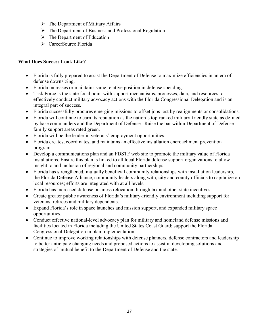- $\triangleright$  The Department of Military Affairs
- $\triangleright$  The Department of Business and Professional Regulation
- $\triangleright$  The Department of Education
- CareerSource Florida

#### **What Does Success Look Like?**

- Florida is fully prepared to assist the Department of Defense to maximize efficiencies in an era of defense downsizing.
- Florida increases or maintains same relative position in defense spending.
- Task Force is the state focal point with support mechanisms, processes, data, and resources to effectively conduct military advocacy actions with the Florida Congressional Delegation and is an integral part of success.
- Florida successfully procures emerging missions to offset jobs lost by realignments or consolidations.
- Florida will continue to earn its reputation as the nation's top-ranked military-friendly state as defined by base commanders and the Department of Defense. Raise the bar within Department of Defense family support areas rated green.
- Florida will be the leader in veterans' employment opportunities.
- Florida creates, coordinates, and maintains an effective installation encroachment prevention program.
- Develop a communications plan and an FDSTF web site to promote the military value of Florida installations. Ensure this plan is linked to all local Florida defense support organizations to allow insight to and inclusion of regional and community partnerships.
- Florida has strengthened, mutually beneficial community relationships with installation leadership, the Florida Defense Alliance, community leaders along with, city and county officials to capitalize on local resources; efforts are integrated with at all levels.
- Florida has increased defense business relocation through tax and other state incentives
- Create greater public awareness of Florida's military-friendly environment including support for veterans, retirees and military dependents.
- Expand Florida's role in space launches and mission support, and expanded military space opportunities.
- Conduct effective national-level advocacy plan for military and homeland defense missions and facilities located in Florida including the United States Coast Guard; support the Florida Congressional Delegation in plan implementation.
- Continue to improve working relationships with defense planners, defense contractors and leadership to better anticipate changing needs and proposed actions to assist in developing solutions and strategies of mutual benefit to the Department of Defense and the state.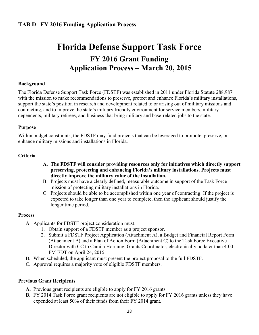# **Florida Defense Support Task Force FY 2016 Grant Funding Application Process – March 20, 2015**

#### **Background**

The Florida Defense Support Task Force (FDSTF) was established in 2011 under Florida Statute 288.987 with the mission to make recommendations to preserve, protect and enhance Florida's military installations, support the state's position in research and development related to or arising out of military missions and contracting, and to improve the state's military friendly environment for service members, military dependents, military retirees, and business that bring military and base-related jobs to the state.

#### **Purpose**

Within budget constraints, the FDSTF may fund projects that can be leveraged to promote, preserve, or enhance military missions and installations in Florida.

#### **Criteria**

- **A. The FDSTF will consider providing resources only for initiatives which directly support preserving, protecting and enhancing Florida's military installations. Projects must directly improve the military value of the installation.**
- B. Projects must have a clearly defined, measurable outcome in support of the Task Force mission of protecting military installations in Florida.
- C. Projects should be able to be accomplished within one year of contracting. If the project is expected to take longer than one year to complete, then the applicant should justify the longer time period.

#### **Process**

- A. Applicants for FDSTF project consideration must:
	- 1. Obtain support of a FDSTF member as a project sponsor.
	- 2. Submit a FDSTF Project Application (Attachment A), a Budget and Financial Report Form (Attachment B) and a Plan of Action Form (Attachment C) to the Task Force Executive Director with CC to Camila Hornung, Grants Coordinator, electronically no later than 4:00 PM EDT on April 24, 2015.
- B. When scheduled, the applicant must present the project proposal to the full FDSTF.
- C. Approval requires a majority vote of eligible FDSTF members.

#### **Previous Grant Recipients**

- **A.** Previous grant recipients are eligible to apply for FY 2016 grants.
- **B.** FY 2014 Task Force grant recipients are not eligible to apply for FY 2016 grants unless they have expended at least 50% of their funds from their FY 2014 grant.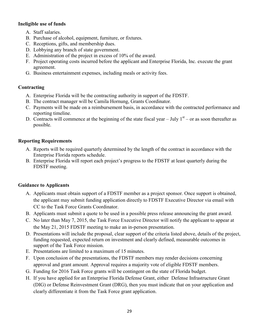#### **Ineligible use of funds**

- A. Staff salaries.
- B. Purchase of alcohol, equipment, furniture, or fixtures.
- C. Receptions, gifts, and membership dues.
- D. Lobbying any branch of state government.
- E. Administration of the project in excess of 10% of the award.
- F. Project operating costs incurred before the applicant and Enterprise Florida, Inc. execute the grant agreement.
- G. Business entertainment expenses, including meals or activity fees.

#### **Contracting**

- A. Enterprise Florida will be the contracting authority in support of the FDSTF.
- B. The contract manager will be Camila Hornung, Grants Coordinator.
- C. Payments will be made on a reimbursement basis, in accordance with the contracted performance and reporting timeline.
- D. Contracts will commence at the beginning of the state fiscal year  $-$  July  $1<sup>st</sup>$  or as soon thereafter as possible.

#### **Reporting Requirements**

- A. Reports will be required quarterly determined by the length of the contract in accordance with the Enterprise Florida reports schedule.
- B. Enterprise Florida will report each project's progress to the FDSTF at least quarterly during the FDSTF meeting.

#### **Guidance to Applicants**

- A. Applicants must obtain support of a FDSTF member as a project sponsor. Once support is obtained, the applicant may submit funding application directly to FDSTF Executive Director via email with CC to the Task Force Grants Coordinator.
- B. Applicants must submit a quote to be used in a possible press release announcing the grant award.
- C. No later than May 7, 2015, the Task Force Executive Director will notify the applicant to appear at the May 21, 2015 FDSTF meeting to make an in-person presentation.
- D. Presentations will include the proposal, clear support of the criteria listed above, details of the project, funding requested, expected return on investment and clearly defined, measurable outcomes in support of the Task Force mission.
- E. Presentations are limited to a maximum of 15 minutes.
- F. Upon conclusion of the presentations, the FDSTF members may render decisions concerning approval and grant amount. Approval requires a majority vote of eligible FDSTF members.
- G. Funding for 2016 Task Force grants will be contingent on the state of Florida budget.
- H. If you have applied for an Enterprise Florida Defense Grant, either Defense Infrastructure Grant (DIG) or Defense Reinvestment Grant (DRG), then you must indicate that on your application and clearly differentiate it from the Task Force grant application.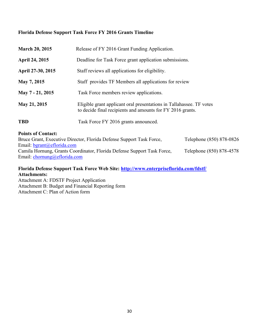#### **Florida Defense Support Task Force FY 2016 Grants Timeline**

| <b>March 20, 2015</b> | Release of FY 2016 Grant Funding Application.                                                                                      |
|-----------------------|------------------------------------------------------------------------------------------------------------------------------------|
| <b>April 24, 2015</b> | Deadline for Task Force grant application submissions.                                                                             |
| April 27-30, 2015     | Staff reviews all applications for eligibility.                                                                                    |
| May 7, 2015           | Staff provides TF Members all applications for review                                                                              |
| May 7 - 21, 2015      | Task Force members review applications.                                                                                            |
| May 21, 2015          | Eligible grant applicant oral presentations in Tallahassee. TF votes<br>to decide final recipients and amounts for FY 2016 grants. |
| <b>TBD</b>            | Task Force FY 2016 grants announced.                                                                                               |

#### **Points of Contact:**

Bruce Grant, Executive Director, Florida Defense Support Task Force, Telephone (850) 878-0826 Email: [bgrant@eflorida.com](mailto:bgrant@eflorida.com) Camila Hornung, Grants Coordinator, Florida Defense Support Task Force, Telephone (850) 878-4578 Email: [chornung@eflorida.com](mailto:chornung@eflorida.com)

#### **Florida Defense Support Task Force Web Site:<http://www.enterpriseflorida.com/fdstf/> Attachments:**

Attachment A: FDSTF Project Application Attachment B: Budget and Financial Reporting form Attachment C: Plan of Action form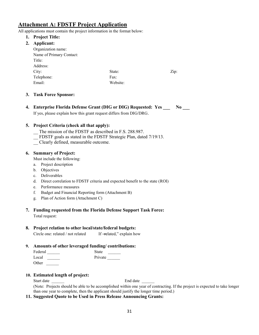#### **Attachment A: FDSTF Project Application**

All applications must contain the project information in the format below:

- **1. Project Title:**
- **2. Applicant:**

| $1 - p p$ $\rightarrow$ $1 - p p$ |          |      |
|-----------------------------------|----------|------|
| Organization name:                |          |      |
| Name of Primary Contact:          |          |      |
| Title:                            |          |      |
| Address:                          |          |      |
| City:                             | State:   | Zip: |
| Telephone:                        | Fax:     |      |
| Email:                            | Website: |      |
|                                   |          |      |

#### **3. Task Force Sponsor:**

**4. Enterprise Florida Defense Grant (DIG or DIG) Requested: Yes \_\_\_ No \_\_\_**  If yes, please explain how this grant request differs from DIG/DRG.

#### **5. Project Criteria (check all that apply):**

- The mission of the FDSTF as described in F.S. 288.987.
- \_\_ FDSTF goals as stated in the FDSTF Strategic Plan, dated 7/19/13.
- \_\_ Clearly defined, measurable outcome.

#### **6. Summary of Project:**

Must include the following:

- a. Project description
- b. Objectives
- c. Deliverables
- d. Direct correlation to FDSTF criteria and expected benefit to the state (ROI)
- e. Performance measures
- f. Budget and Financial Reporting form (Attachment B)
- g. Plan of Action form (Attachment C)
- **7. Funding requested from the Florida Defense Support Task Force:**  Total request:

#### **8. Project relation to other local/state/federal budgets:**

| Circle one: related / not related | If -related," explain how |
|-----------------------------------|---------------------------|
|-----------------------------------|---------------------------|

#### **9. Amounts of other leveraged funding/ contributions:**

| Federal | State   |
|---------|---------|
| Local   | Private |
| Other   |         |

#### **10. Estimated length of project:**

Start date **End** date **End** date

(Note: Projects should be able to be accomplished within one year of contracting. If the project is expected to take longer than one year to complete, then the applicant should justify the longer time period.)

**11. Suggested Quote to be Used in Press Release Announcing Grants:**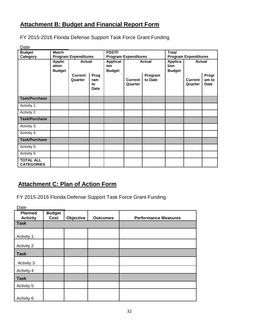#### **Attachment B: Budget and Financial Report Form**

FY 2015-2016 Florida Defense Support Task Force Grant Funding

Date\_\_\_\_\_\_\_\_\_\_\_\_\_\_\_

| <b>Budget</b>                         | <b>Match</b>                            |                           | <b>FDSTF</b>                     |                                                   | <b>Total</b>              |                                  |               |                           |                               |
|---------------------------------------|-----------------------------------------|---------------------------|----------------------------------|---------------------------------------------------|---------------------------|----------------------------------|---------------|---------------------------|-------------------------------|
| Category                              | <b>Program Expenditures</b>             |                           | <b>Program Expenditures</b>      |                                                   |                           | <b>Program Expenditures</b>      |               |                           |                               |
|                                       | <b>Applic</b><br>ation<br><b>Budget</b> | <b>Actual</b>             |                                  | Applicat<br><b>Actual</b><br>ion<br><b>Budget</b> |                           | Applica<br>tion<br><b>Budget</b> | <b>Actual</b> |                           |                               |
|                                       |                                         | <b>Current</b><br>Quarter | Prog<br>ram<br>to<br><b>Date</b> |                                                   | <b>Current</b><br>Quarter | Program<br>to Date               |               | <b>Current</b><br>Quarter | Progr<br>am to<br><b>Date</b> |
| <b>Task/Purchase</b>                  |                                         |                           |                                  |                                                   |                           |                                  |               |                           |                               |
| Activity 1:                           |                                         |                           |                                  |                                                   |                           |                                  |               |                           |                               |
| Activity 2:                           |                                         |                           |                                  | $\overline{\phantom{a}}$                          |                           |                                  |               |                           |                               |
| <b>Task/Purchase</b>                  |                                         |                           |                                  |                                                   |                           |                                  |               |                           |                               |
| Activity 3:                           |                                         |                           |                                  |                                                   |                           |                                  |               |                           |                               |
| Activity 4:                           |                                         |                           |                                  |                                                   |                           |                                  |               |                           |                               |
| <b>Task/Purchase</b>                  |                                         |                           |                                  |                                                   |                           |                                  |               |                           |                               |
| Activity 5:                           |                                         |                           |                                  |                                                   |                           |                                  |               |                           |                               |
| Activity 6:                           |                                         |                           |                                  |                                                   |                           |                                  |               |                           |                               |
| <b>TOTAL ALL</b><br><b>CATEGORIES</b> |                                         |                           |                                  |                                                   |                           |                                  |               |                           |                               |

#### **Attachment C: Plan of Action Form**

FY 2015-2016 Florida Defense Support Task Force Grant Funding

| <b>Planned</b><br><b>Activity</b> | <b>Budget</b><br>Cost | Objective | <b>Outcomes</b> | <b>Performance Measures</b> |
|-----------------------------------|-----------------------|-----------|-----------------|-----------------------------|
| <b>Task</b>                       |                       |           |                 |                             |
| Activity 1:                       |                       |           |                 |                             |
| Activity 2:                       |                       |           |                 |                             |
| <b>Task</b>                       |                       |           |                 |                             |
| Activity 3:                       |                       |           |                 |                             |
| Activity 4:                       |                       |           |                 |                             |
| <b>Task</b>                       |                       |           |                 |                             |
| Activity 5:                       |                       |           |                 |                             |
| Activity 6:                       |                       |           |                 |                             |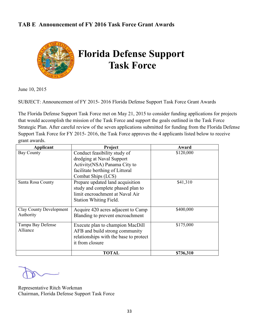#### **TAB E Announcement of FY 2016 Task Force Grant Awards**



June 10, 2015

SUBJECT: Announcement of FY 2015- 2016 Florida Defense Support Task Force Grant Awards

The Florida Defense Support Task Force met on May 21, 2015 to consider funding applications for projects that would accomplish the mission of the Task Force and support the goals outlined in the Task Force Strategic Plan. After careful review of the seven applications submitted for funding from the Florida Defense Support Task Force for FY 2015- 2016, the Task Force approves the 4 applicants listed below to receive grant awards.

| Applicant               | Project                                                               | Award     |
|-------------------------|-----------------------------------------------------------------------|-----------|
| <b>Bay County</b>       | Conduct feasibility study of                                          | \$120,000 |
|                         | dredging at Naval Support                                             |           |
|                         | Activity(NSA) Panama City to                                          |           |
|                         | facilitate berthing of Littoral                                       |           |
|                         | Combat Ships (LCS)                                                    |           |
| Santa Rosa County       | Prepare updated land acquisition<br>study and complete phased plan to | \$41,310  |
|                         | limit encroachment at Naval Air                                       |           |
|                         | Station Whiting Field.                                                |           |
| Clay County Development | Acquire 420 acres adjacent to Camp                                    | \$400,000 |
| Authority               | Blanding to prevent encroachment                                      |           |
| Tampa Bay Defense       | Execute plan to champion MacDill                                      | \$175,000 |
| Alliance                | AFB and build strong community                                        |           |
|                         | relationships with the base to protect                                |           |
|                         | it from closure                                                       |           |
|                         | <b>TOTAL</b>                                                          | \$736,310 |

Representative Ritch Workman Chairman, Florida Defense Support Task Force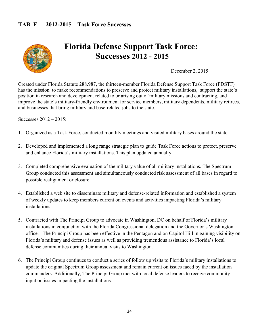

# **Florida Defense Support Task Force: Successes 2012 - 2015**

December 2, 2015

Created under Florida Statute 288.987, the thirteen-member Florida Defense Support Task Force (FDSTF) has the mission to make recommendations to preserve and protect military installations, support the state's position in research and development related to or arising out of military missions and contracting, and improve the state's military-friendly environment for service members, military dependents, military retirees, and businesses that bring military and base-related jobs to the state.

Successes 2012 – 2015:

- 1. Organized as a Task Force, conducted monthly meetings and visited military bases around the state.
- 2. Developed and implemented a long range strategic plan to guide Task Force actions to protect, preserve and enhance Florida's military installations. This plan updated annually.
- 3. Completed comprehensive evaluation of the military value of all military installations. The Spectrum Group conducted this assessment and simultaneously conducted risk assessment of all bases in regard to possible realignment or closure.
- 4. Established a web site to disseminate military and defense-related information and established a system of weekly updates to keep members current on events and activities impacting Florida's military installations.
- 5. Contracted with The Principi Group to advocate in Washington, DC on behalf of Florida's military installations in conjunction with the Florida Congressional delegation and the Governor's Washington office. The Principi Group has been effective in the Pentagon and on Capitol Hill in gaining visibility on Florida's military and defense issues as well as providing tremendous assistance to Florida's local defense communities during their annual visits to Washington.
- 6. The Principi Group continues to conduct a series of follow up visits to Florida's military installations to update the original Spectrum Group assessment and remain current on issues faced by the installation commanders. Additionally, The Principi Group met with local defense leaders to receive community input on issues impacting the installations.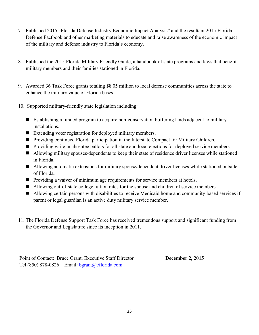- 7. Published 2015 Florida Defense Industry Economic Impact Analysis" and the resultant 2015 Florida Defense Factbook and other marketing materials to educate and raise awareness of the economic impact of the military and defense industry to Florida's economy.
- 8. Published the 2015 Florida Military Friendly Guide, a handbook of state programs and laws that benefit military members and their families stationed in Florida.
- 9. Awarded 36 Task Force grants totaling \$8.05 million to local defense communities across the state to enhance the military value of Florida bases.
- 10. Supported military-friendly state legislation including:
	- Establishing a funded program to acquire non-conservation buffering lands adjacent to military installations.
	- Extending voter registration for deployed military members.
	- **Providing continued Florida participation in the Interstate Compact for Military Children.**
	- **Providing write in absentee ballots for all state and local elections for deployed service members.**
	- Allowing military spouses/dependents to keep their state of residence driver licenses while stationed in Florida.
	- Allowing automatic extensions for military spouse/dependent driver licenses while stationed outside of Florida.
	- **Providing a waiver of minimum age requirements for service members at hotels.**
	- Allowing out-of-state college tuition rates for the spouse and children of service members.
	- Allowing certain persons with disabilities to receive Medicaid home and community-based services if parent or legal guardian is an active duty military service member.
- 11. The Florida Defense Support Task Force has received tremendous support and significant funding from the Governor and Legislature since its inception in 2011.

Point of Contact: Bruce Grant, Executive Staff Director **December 2, 2015** Tel (850) 878-0826 Email: bgrant@eflorida.com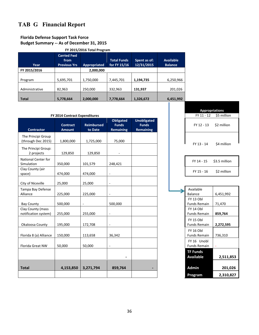## **TAB G Financial Report**

#### **Florida Defense Support Task Force**

#### **Budget Summary -- As of December 31, 2015**

| FY 2015/2016 Total Program |  |
|----------------------------|--|
|----------------------------|--|

| Year           | <b>Carried Fwd</b><br>from<br><b>Previous Yrs</b> | <b>Appropriated</b> | <b>Total Funds</b><br>for FY 15/16 | Spent as of:<br>12/31/2015 | <b>Available</b><br><b>Balance</b> |
|----------------|---------------------------------------------------|---------------------|------------------------------------|----------------------------|------------------------------------|
| FY 2015/2016   |                                                   | 2,000,000           |                                    |                            |                                    |
| Program        | 5,695,701                                         | 1,750,000           | 7,445,701                          | 1,194,735                  | 6,250,966                          |
| Administrative | 82,963                                            | 250,000             | 332,963                            | 131,937                    | 201,026                            |
| <b>Total</b>   | 5,778,664                                         | 2,000,000           | 7,778,664                          | 1,326,672                  | 6,451,992                          |

|                                           | FY 2014 Contract Expenditures    |                              |                                                      |                                                        | FY 11 - 12                              | \$5 million   |
|-------------------------------------------|----------------------------------|------------------------------|------------------------------------------------------|--------------------------------------------------------|-----------------------------------------|---------------|
| <b>Contractor</b>                         | <b>Contract</b><br><b>Amount</b> | <b>Reimbursed</b><br>to Date | <b>Obligated</b><br><b>Funds</b><br><b>Remaining</b> | <b>Unobligated</b><br><b>Funds</b><br><b>Remaining</b> | FY 12 - 13                              | \$2 million   |
| The Principi Group<br>(through Dec 2015)  | 1,800,000                        | 1,725,000                    | 75,000                                               |                                                        | FY 13 - 14                              | \$4 million   |
| The Principi Group:<br>2 projects         | 129,850                          | 129,850                      |                                                      |                                                        |                                         |               |
| <b>National Center for</b><br>Simulation  | 350,000                          | 101,579                      | 248,421                                              |                                                        | FY 14 - 15                              | \$3.5 million |
| Clay County (air<br>space)                | 474,000                          | 474,000                      | $\overline{\phantom{m}}$                             |                                                        | FY 15 - 16                              | \$2 million   |
| City of Niceville                         | 25,000                           | 25,000                       | ÷,                                                   |                                                        |                                         |               |
| Tampa Bay Defense<br>Alliance             | 225,000                          | 225,000                      | $\overline{\phantom{a}}$                             |                                                        | Available<br><b>Balance</b>             | 6,451,992     |
| <b>Bay County</b>                         | 500,000                          | ÷                            | 500,000                                              |                                                        | <b>FY 13 Obl</b><br><b>Funds Remain</b> | 71,470        |
| Clay County (mass<br>notification system) | 255,000                          | 255,000                      | ÷,                                                   |                                                        | <b>FY 14 Obl</b><br><b>Funds Remain</b> | 859,764       |
| Okaloosa County                           | 195,000                          | 172,708                      | $\overline{\phantom{a}}$                             |                                                        | <b>FY 15 Obl</b><br><b>Funds Remain</b> | 2,272,595     |
| Florida 8 (a) Alliance                    | 150,000                          | 113,658                      | 36,342                                               |                                                        | <b>FY 16 Obl</b><br><b>Funds Remain</b> | 736,310       |
| Florida Great NW                          | 50,000                           | 50,000                       | ÷,                                                   |                                                        | FY 16 Unobl<br><b>Funds Remain</b>      |               |
|                                           |                                  |                              |                                                      |                                                        | <b>TF Funds</b><br><b>Available</b>     | 2,511,853     |
| <b>Total</b>                              | 4,153,850                        | 3,271,794                    | 859,764                                              | -                                                      | <b>Admin</b>                            | 201,026       |
|                                           |                                  |                              |                                                      |                                                        | <b>Program</b>                          | 2310827       |

| <b>Appropriations</b>    |                        |
|--------------------------|------------------------|
|                          | FY 11 - 12 \$5 million |
| FY 12 - 13 \$2 million   |                        |
| FY 13 - 14 \$4 million   |                        |
| FY 14 - 15 \$3.5 million |                        |
| FY 15 - 16 \$2 million   |                        |
|                          |                        |
| Available                |                        |

| Available           |           |
|---------------------|-----------|
| <b>Balance</b>      | 6,451,992 |
| FY 13 Obl           |           |
| <b>Funds Remain</b> | 71,470    |
| FY 14 Obl           |           |
| <b>Funds Remain</b> | 859,764   |
| FY 15 Obl           |           |
| <b>Funds Remain</b> | 2,272,595 |
| <b>FY 16 Obl</b>    |           |
| <b>Funds Remain</b> | 736,310   |
| FY 16 Unobl         |           |
| <b>Funds Remain</b> |           |
| <b>TF Funds</b>     |           |
| <b>Available</b>    | 2,511,853 |
|                     |           |
| <b>Admin</b>        | 201,026   |
| Program             | 2,310,827 |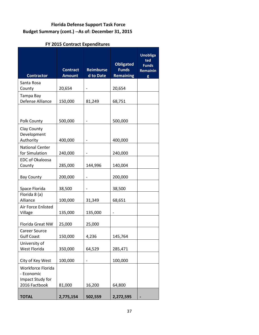#### **Florida Defense Support Task Force Budget Summary (cont.) --As of: December 31, 2015**

#### **FY 2015 Contract Expenditures**

| <b>Contractor</b>                                                    | <b>Contract</b><br><b>Amount</b> | <b>Reimburse</b><br>d to Date | <b>Obligated</b><br><b>Funds</b><br><b>Remaining</b> | <b>Unobliga</b><br>ted<br><b>Funds</b><br>Remainin<br>g |
|----------------------------------------------------------------------|----------------------------------|-------------------------------|------------------------------------------------------|---------------------------------------------------------|
| Santa Rosa<br>County                                                 | 20,654                           |                               | 20,654                                               |                                                         |
| Tampa Bay<br>Defense Alliance                                        | 150,000                          | 81,249                        | 68,751                                               |                                                         |
| Polk County                                                          | 500,000                          |                               | 500,000                                              |                                                         |
| Clay County<br>Development<br>Authority                              | 400,000                          |                               | 400,000                                              |                                                         |
| <b>National Center</b><br>for Simulation                             | 240,000                          |                               | 240,000                                              |                                                         |
| <b>EDC of Okaloosa</b><br>County                                     | 285,000                          | 144,996                       | 140,004                                              |                                                         |
| <b>Bay County</b>                                                    | 200,000                          | -                             | 200,000                                              |                                                         |
| Space Florida                                                        | 38,500                           |                               | 38,500                                               |                                                         |
| Florida 8 (a)<br>Alliance                                            | 100,000                          | 31,349                        | 68,651                                               |                                                         |
| Air Force Enlisted<br>Village                                        | 135,000                          | 135,000                       |                                                      |                                                         |
| Florida Great NW                                                     | 25,000                           | 25,000                        |                                                      |                                                         |
| <b>Career Source</b><br><b>Gulf Coast</b>                            | 150,000                          | 4,236                         | 145,764                                              |                                                         |
| University of<br>West Florida                                        | 350,000                          | 64,529                        | 285,471                                              |                                                         |
| City of Key West                                                     | 100,000                          |                               | 100,000                                              |                                                         |
| Workforce Florida<br>- Economic<br>Impact Study for<br>2016 Factbook | 81,000                           | 16,200                        | 64,800                                               |                                                         |
| <b>TOTAL</b>                                                         | 2,775,154                        | 502,559                       | 2,272,595                                            |                                                         |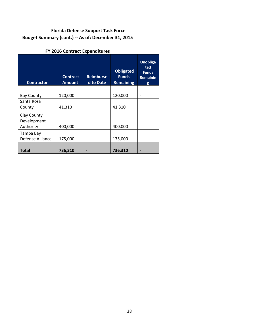#### **Florida Defense Support Task Force Budget Summary (cont.) -- As of: December 31, 2015**

#### **FY 2016 Contract Expenditures**

| <b>Contractor</b>                       | <b>Contract</b><br><b>Amount</b> | <b>Reimburse</b><br>d to Date | <b>Obligated</b><br><b>Funds</b><br><b>Remaining</b> | <b>Unobliga</b><br>ted<br><b>Funds</b><br><b>Remainin</b><br>g |
|-----------------------------------------|----------------------------------|-------------------------------|------------------------------------------------------|----------------------------------------------------------------|
|                                         |                                  |                               |                                                      |                                                                |
| <b>Bay County</b>                       | 120,000                          |                               | 120,000                                              |                                                                |
| Santa Rosa                              |                                  |                               |                                                      |                                                                |
| County                                  | 41,310                           |                               | 41,310                                               |                                                                |
| Clay County<br>Development<br>Authority | 400,000                          |                               | 400,000                                              |                                                                |
| Tampa Bay<br>Defense Alliance           | 175,000                          |                               | 175,000                                              |                                                                |
| Total                                   | 736,310                          |                               | 736,310                                              |                                                                |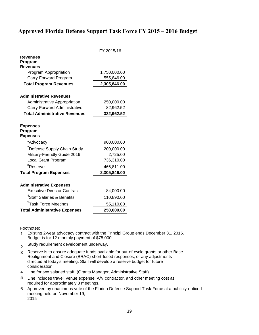#### **Approved Florida Defense Support Task Force FY 2015 – 2016 Budget**

|                                               | FY 2015/16   |
|-----------------------------------------------|--------------|
| Revenues                                      |              |
| Program                                       |              |
| <b>Revenues</b>                               |              |
| Program Appropriation                         | 1,750,000.00 |
| Carry-Forward Program                         | 555,846.00   |
| <b>Total Program Revenues</b>                 | 2,305,846.00 |
| <b>Administrative Revenues</b>                |              |
| Administrative Appropriation                  | 250,000.00   |
| Carry-Forward Administrative                  | 82,962.52    |
| <b>Total Administrative Revenues</b>          | 332,962.52   |
|                                               |              |
| <b>Expenses</b><br>Program<br><b>Expenses</b> |              |
| <sup>1</sup> Advocacy                         | 900,000.00   |
| <sup>2</sup> Defense Supply Chain Study       | 200,000.00   |
| Military-Friendly Guide 2016                  | 2,725.00     |
| Local Grant Program                           | 736,310.00   |
| <sup>3</sup> Reserve                          | 466,811.00   |
| <b>Total Program Expenses</b>                 | 2,305,846.00 |
|                                               |              |
| <b>Administrative Expenses</b>                |              |
| <b>Executive Director Contract</b>            | 84,000.00    |
| <sup>4</sup> Staff Salaries & Benefits        | 110,890.00   |
| <sup>5</sup> Task Force Meetings              | 55,110.00    |
| <b>Total Administrative Expenses</b>          | 250,000.00   |

Footnotes:

- 1 Existing 2-year advocacy contract with the Principi Group ends December 31, 2015. Budget is for 12 monthly payment of \$75,000.
- 2 Study requirement development underway.
- 3 Reserve is to ensure adequate funds available for out-of-cycle grants or other Base Realignment and Closure (BRAC) short-fused responses, or any adjustments directed at today's meeting. Staff will develop a reserve budget for future consideration.
- 4 Line for two salaried staff. (Grants Manager, Administrative Staff)
- 5 Line includes travel, venue expense, A/V contractor, and other meeting cost as required for approximately 8 meetings.
- 6 Approved by unanimous vote of the Florida Defense Support Task Force at a publicly-noticed meeting held on November 19, 2015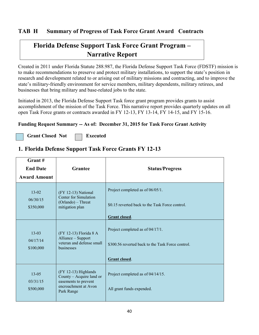#### **TAB H Summary of Progress of Task Force Grant Award Contracts**

## **Florida Defense Support Task Force Grant Program – Narrative Report**

Created in 2011 under Florida Statute 288.987, the Florida Defense Support Task Force (FDSTF) mission is to make recommendations to preserve and protect military installations, to support the state's position in research and development related to or arising out of military missions and contracting, and to improve the state's military-friendly environment for service members, military dependents, military retirees, and businesses that bring military and base-related jobs to the state.

Initiated in 2013, the Florida Defense Support Task force grant program provides grants to assist accomplishment of the mission of the Task Force. This narrative report provides quarterly updates on all open Task Force grants or contracts awarded in FY 12-13, FY 13-14, FY 14-15, and FY 15-16.

#### **Funding Request Summary -- As of: December 31, 2015 for Task Force Grant Activity**

Grant Closed Not **Fig. 2** Executed

#### **1. Florida Defense Support Task Force Grants FY 12-13**

| Grant#<br><b>End Date</b><br><b>Award Amount</b> | <b>Grantee</b>                                                                                                   | <b>Status/Progress</b>                                                                                 |
|--------------------------------------------------|------------------------------------------------------------------------------------------------------------------|--------------------------------------------------------------------------------------------------------|
| $13 - 02$<br>06/30/15<br>\$350,000               | (FY 12-13) National<br>Center for Simulation<br>(Orlando) - Threat<br>mitigation plan                            | Project completed as of 06/05/1.<br>\$0.15 reverted back to the Task Force control.<br>Grant closed.   |
| $13 - 03$<br>04/17/14<br>\$100,000               | (FY 12-13) Florida 8 A<br>Alliance - Support<br>veteran and defense small<br>businesses                          | Project completed as of 04/17/1.<br>\$300.56 reverted back to the Task Force control.<br>Grant closed. |
| $13 - 05$<br>03/31/15<br>\$500,000               | $(FY 12-13)$ Highlands<br>County - Acquire land or<br>easements to prevent<br>encroachment at Avon<br>Park Range | Project completed as of 04/14/15.<br>All grant funds expended.                                         |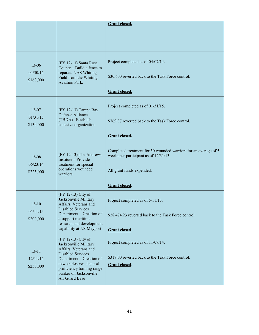|                       |                                                                                                  | <b>Grant closed.</b>                                                                                     |
|-----------------------|--------------------------------------------------------------------------------------------------|----------------------------------------------------------------------------------------------------------|
|                       |                                                                                                  |                                                                                                          |
|                       |                                                                                                  |                                                                                                          |
| $13 - 06$             | (FY 12-13) Santa Rosa<br>County - Build a fence to                                               | Project completed as of 04/07/14.                                                                        |
| 04/30/14<br>\$160,000 | separate NAS Whiting<br>Field from the Whiting<br><b>Aviation Park.</b>                          | \$30,600 reverted back to the Task Force control.                                                        |
|                       |                                                                                                  | Grant closed.                                                                                            |
| $13 - 07$             | (FY 12-13) Tampa Bay<br>Defense Alliance                                                         | Project completed as of 01/31/15.                                                                        |
| 01/31/15<br>\$130,000 | (TBDA)-Establish<br>cohesive organization                                                        | \$769.37 reverted back to the Task Force control.                                                        |
|                       |                                                                                                  | Grant closed.                                                                                            |
| $13 - 08$<br>06/23/14 | (FY 12-13) The Andrews<br>Institute - Provide<br>treatment for special<br>operations wounded     | Completed treatment for 50 wounded warriors for an average of 5<br>weeks per participant as of 12/31/13. |
| \$225,000             | warriors                                                                                         | All grant funds expended.                                                                                |
|                       |                                                                                                  | Grant closed.                                                                                            |
| $13 - 10$             | (FY 12-13) City of<br>Jacksonville Military<br>Affairs, Veterans and<br><b>Disabled Services</b> | Project completed as of 5/11/15.                                                                         |
| 05/11/15<br>\$200,000 | Department - Creation of<br>a support maritime<br>research and development                       | \$28,474.23 reverted back to the Task Force control.                                                     |
|                       | capability at NS Mayport                                                                         | Grant closed.                                                                                            |
| $13 - 11$             | (FY 12-13) City of<br>Jacksonville Military<br>Affairs, Veterans and<br><b>Disabled Services</b> | Project completed as of 11/07/14.                                                                        |
| 12/11/14              | Department - Creation of<br>new explosives disposal                                              | \$318.00 reverted back to the Task Force control.                                                        |
| \$250,000             | proficiency training range<br>bunker on Jacksonville<br>Air Guard Base                           | Grant closed.                                                                                            |
|                       |                                                                                                  |                                                                                                          |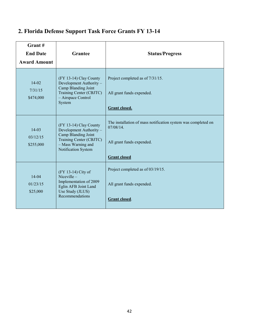| Grant#<br><b>End Date</b><br><b>Award Amount</b> | <b>Grantee</b>                                                                                                                                   | <b>Status/Progress</b>                                                                                                         |
|--------------------------------------------------|--------------------------------------------------------------------------------------------------------------------------------------------------|--------------------------------------------------------------------------------------------------------------------------------|
| $14 - 02$<br>7/31/15<br>\$474,000                | (FY 13-14) Clay County<br>Development Authority -<br>Camp Blanding Joint<br>Training Center (CBJTC)<br>- Airspace Control<br>System              | Project completed as of 7/31/15.<br>All grant funds expended.<br><b>Grant closed.</b>                                          |
| $14-03$<br>03/12/15<br>\$255,000                 | (FY 13-14) Clay County<br>Development Authority -<br>Camp Blanding Joint<br>Training Center (CBJTC)<br>- Mass Warning and<br>Notification System | The installation of mass notification system was completed on<br>07/08/14.<br>All grant funds expended.<br><b>Grant closed</b> |
| $14 - 04$<br>01/23/15<br>\$25,000                | (FY 13-14) City of<br>Niceville $-$<br>Implementation of 2009<br>Eglin AFB Joint Land<br>Use Study (JLUS)<br>Recommendations                     | Project completed as of 03/19/15.<br>All grant funds expended.<br>Grant closed.                                                |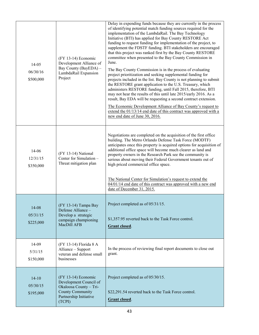| $14 - 05$<br>06/30/16<br>\$500,000 | $(FY 13-14)$ Economic<br>Development Alliance of<br>Bay County (BayEDA) -<br>LambdaRail Expansion<br>Project                             | Delay in expending funds because they are currently in the process<br>of identifying potential match funding sources required for the<br>implementation of the LambdaRail. The Bay Technology<br>Initiative (BTI) has applied for Bay County RESTORE Act<br>funding to request funding for implementation of the project, to<br>supplement the FDSTF funding. BTI stakeholders are encouraged<br>that this project was ranked first by the Bay County RESTORE<br>committee when presented to the Bay County Commission in<br>June.<br>The Bay County Commission is in the process of evaluating<br>project prioritization and seeking supplemental funding for<br>projects included in the list. Bay County is not planning to submit<br>the RESTORE grant application to the U.S. Treasury, which<br>administers RESTORE funding, until Fall 2015, therefore, BTI<br>may not hear the results of this until late 2015/early 2016. As a<br>result, Bay EDA will be requesting a second contract extension.<br>The Economic Development Alliance of Bay County's request to<br>extend the $01/13/14$ end date of this contract was approved with a<br>new end date of June 30, 2016. |
|------------------------------------|------------------------------------------------------------------------------------------------------------------------------------------|-------------------------------------------------------------------------------------------------------------------------------------------------------------------------------------------------------------------------------------------------------------------------------------------------------------------------------------------------------------------------------------------------------------------------------------------------------------------------------------------------------------------------------------------------------------------------------------------------------------------------------------------------------------------------------------------------------------------------------------------------------------------------------------------------------------------------------------------------------------------------------------------------------------------------------------------------------------------------------------------------------------------------------------------------------------------------------------------------------------------------------------------------------------------------------------|
| 14-06<br>12/31/15<br>\$350,000     | (FY 13-14) National<br>Center for Simulation -<br>Threat mitigation plan                                                                 | Negotiations are completed on the acquisition of the first office<br>building. The Metro Orlando Defense Task Force (MODTF)<br>anticipates once this property is acquired options for acquisition of<br>additional office space will become much clearer as land and<br>property owners in the Research Park see the community is<br>serious about moving their Federal Government tenants out of<br>high priced commercial office space.<br>The National Center for Simulation's request to extend the<br>04/01/14 end date of this contract was approved with a new end<br>date of December 31, 2015.                                                                                                                                                                                                                                                                                                                                                                                                                                                                                                                                                                             |
| 14-08<br>05/31/15<br>\$225,000     | (FY 13-14) Tampa Bay<br>Defense Alliance -<br>Develop a strategic<br>campaign championing<br>MacDill AFB                                 | Project completed as of 05/31/15.<br>\$1,357.95 reverted back to the Task Force control.<br>Grant closed.                                                                                                                                                                                                                                                                                                                                                                                                                                                                                                                                                                                                                                                                                                                                                                                                                                                                                                                                                                                                                                                                           |
| 14-09<br>5/31/15<br>\$150,000      | (FY 13-14) Florida 8 A<br>Alliance - Support<br>veteran and defense small<br>businesses                                                  | In the process of reviewing final report documents to close out<br>grant.                                                                                                                                                                                                                                                                                                                                                                                                                                                                                                                                                                                                                                                                                                                                                                                                                                                                                                                                                                                                                                                                                                           |
| $14 - 10$<br>05/30/15<br>\$195,000 | $(FY 13-14)$ Economic<br>Development Council of<br>Okaloosa County - Tri-<br><b>County Community</b><br>Partnership Initiative<br>(TCPI) | Project completed as of 05/30/15.<br>\$22,291.54 reverted back to the Task Force control.<br>Grant closed.                                                                                                                                                                                                                                                                                                                                                                                                                                                                                                                                                                                                                                                                                                                                                                                                                                                                                                                                                                                                                                                                          |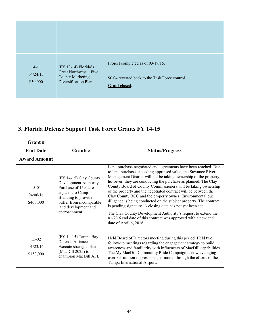| $14 - 11$<br>04/24/15<br>\$50,000 | (FY 13-14) Florida's<br>Great Northwest - Five<br><b>County Marketing</b><br>Diversification Plan | Project completed as of 03/19/15.<br>\$0.04 reverted back to the Task Force control.<br>Grant closed. |
|-----------------------------------|---------------------------------------------------------------------------------------------------|-------------------------------------------------------------------------------------------------------|

# **3. Florida Defense Support Task Force Grants FY 14-15**

| Grant#<br><b>End Date</b><br><b>Award Amount</b> | Grantee                                                                                                                                                                                   | <b>Status/Progress</b>                                                                                                                                                                                                                                                                                                                                                                                                                                                                                                                                                                                                                                                                                                                                                    |
|--------------------------------------------------|-------------------------------------------------------------------------------------------------------------------------------------------------------------------------------------------|---------------------------------------------------------------------------------------------------------------------------------------------------------------------------------------------------------------------------------------------------------------------------------------------------------------------------------------------------------------------------------------------------------------------------------------------------------------------------------------------------------------------------------------------------------------------------------------------------------------------------------------------------------------------------------------------------------------------------------------------------------------------------|
| $15 - 01$<br>04/06/16<br>\$400,000               | (FY 14-15) Clay County<br>Development Authority -<br>Purchase of 159 acres<br>adjacent to Camp<br>Blanding to provide<br>buffer from incompatible<br>land development and<br>encroachment | Land purchase negotiated and agreements have been reached. Due<br>to land purchase exceeding appraised value, the Suwanee River<br>Management District will not be taking ownership of the property;<br>however, they are conducting the purchase as planned. The Clay<br>County Board of County Commissioners will be taking ownership<br>of the property and the negotiated contract will be between the<br>Clay County BCC and the property owner. Environmental due<br>diligence is being conducted on the subject property. The contract<br>is pending signature. A closing date has not yet been set.<br>The Clay County Development Authority's request to extend the<br>$01/7/16$ end date of this contract was approved with a new end<br>date of April 6, 2016. |
| $15-02$<br>01/23/16<br>\$150,000                 | (FY 14-15) Tampa Bay<br>Defense Alliance -<br>Execute strategic plan<br>(MacDill 2025) to<br>champion MacDill AFB                                                                         | Held Board of Directors meeting during this period. Held two<br>follow-up meetings regarding the engagement strategy to build<br>awareness and familiarity with influencers of MacDill capabilities.<br>The My MacDill Community Pride Campaign is now averaging<br>over 3.1 million impressions per month through the efforts of the<br>Tampa International Airport.                                                                                                                                                                                                                                                                                                                                                                                                     |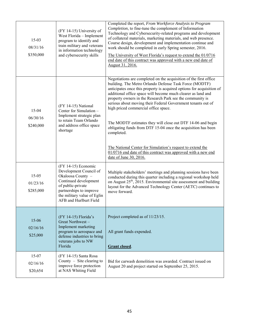| $15-03$<br>08/31/16<br>\$350,000   | (FY 14-15) University of<br>West Florida - Implement<br>program to identify and<br>train military and veterans<br>in information technology<br>and cybersecurity skills                                | Completed the report, From Workforce Analysis to Program<br>Completion, to fine-tune the complement of Information<br>Technology and Cybersecurity-related programs and development<br>of collateral materials, marketing materials, and web presence.<br>Course design, development and implementation continue and<br>work should be completed in early Spring semester, 2016.<br>The University of West Florida's request to extend the 01/0716<br>end date of this contract was approved with a new end date of<br>August 31, 2016.                                                                                                                                                                                                            |
|------------------------------------|--------------------------------------------------------------------------------------------------------------------------------------------------------------------------------------------------------|----------------------------------------------------------------------------------------------------------------------------------------------------------------------------------------------------------------------------------------------------------------------------------------------------------------------------------------------------------------------------------------------------------------------------------------------------------------------------------------------------------------------------------------------------------------------------------------------------------------------------------------------------------------------------------------------------------------------------------------------------|
| $15 - 04$<br>06/30/16<br>\$240,000 | (FY 14-15) National<br>Center for Simulation -<br>Implement strategic plan<br>to retain Team Orlando<br>and address office space<br>shortage                                                           | Negotiations are completed on the acquisition of the first office<br>building. The Metro Orlando Defense Task Force (MODTF)<br>anticipates once this property is acquired options for acquisition of<br>additional office space will become much clearer as land and<br>property owners in the Research Park see the community is<br>serious about moving their Federal Government tenants out of<br>high priced commercial office space.<br>The MODTF estimates they will close out DTF 14-06 and begin<br>obligating funds from DTF 15-04 once the acquisition has been<br>completed.<br>The National Center for Simulation's request to extend the<br>$01/0716$ end date of this contract was approved with a new end<br>date of June 30, 2016. |
| $15 - 05$<br>01/23/16<br>\$285,000 | $(FY 14-15)$ Economic<br>Development Council of<br>Okaloosa County -<br>Continued development<br>of public-private<br>partnerships to improve<br>the military value of Eglin<br>AFB and Hurlburt Field | Multiple stakeholders' meetings and planning sessions have been<br>conducted during this quarter including a regional workshop held<br>on August 25 <sup>th</sup> , 2015. Environmental site assessment and building<br>layout for the Advanced Technology Center (AETC) continues to<br>move forward.                                                                                                                                                                                                                                                                                                                                                                                                                                             |
| $15 - 06$<br>02/16/16<br>\$25,000  | (FY 14-15) Florida's<br>Great Northwest-<br>Implement marketing<br>program to aerospace and<br>defense industries to bring<br>veterans jobs to NW<br>Florida                                           | Project completed as of 11/23/15.<br>All grant funds expended.<br>Grant closed.                                                                                                                                                                                                                                                                                                                                                                                                                                                                                                                                                                                                                                                                    |
| 15-07<br>02/16/16<br>\$20,654      | (FY 14-15) Santa Rosa<br>County $-$ Site clearing to<br>improve force protection<br>at NAS Whiting Field                                                                                               | Bid for carwash demolition was awarded. Contract issued on<br>August 20 and project started on September 25, 2015.                                                                                                                                                                                                                                                                                                                                                                                                                                                                                                                                                                                                                                 |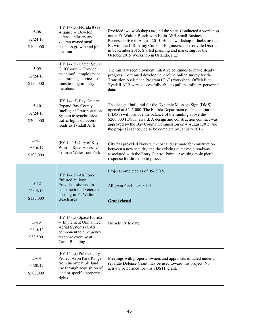| $15 - 08$<br>02/24/16<br>\$100,000 | (FY 14-15) Florida 8 (a)<br>Alliance - Develop<br>defense industry and<br>veteran owned small<br>business growth and job<br>creation                                    | Provided two workshops around the state. Conducted a workshop<br>out at Ft. Walton Beach with Eglin AFB Small Business<br>Representative in August 2015. Held a workshop in Jacksonville,<br>FL with the U.S. Army Corps of Engineers, Jacksonville District<br>in September 2015. Started planning and marketing for the<br>October 2015 Workshop in Orlando, FL.                |
|------------------------------------|-------------------------------------------------------------------------------------------------------------------------------------------------------------------------|-----------------------------------------------------------------------------------------------------------------------------------------------------------------------------------------------------------------------------------------------------------------------------------------------------------------------------------------------------------------------------------|
| 15-09<br>02/24/16<br>\$150,000     | (FY 14-15) Career Source<br>Gulf Coast - Provide<br>meaningful employment<br>and training services to<br>transitioning military<br>members                              | The military reemployment initiative continues to make steady<br>progress. Continued development of the online survey for the<br>Transition Assistance Program (TAP) workshop. Officials at<br>Tyndall AFB were successfully able to pull the military personnel<br>data.                                                                                                         |
| $15-10$<br>02/24/16<br>\$200,000   | $(FY 14-15)$ Bay County -<br><b>Expand Bay County</b><br><b>Intelligent Transportation</b><br>System to synchronize<br>traffic lights on access<br>roads to Tyndall AFB | The design / build bid for the Dynamic Message Sign (DMS)<br>opened at \$245,000. The Florida Department of Transportation<br>(FDOT) will provide the balance of the funding above the<br>\$200,000 FDSTF award. A design and construction contract was<br>approved by the Bay County Commission on 4 August 2015 and<br>the project is scheduled to be complete by January 2016. |
| $15 - 11$<br>03/16/17<br>\$100,000 | (FY 14-15) City of Key<br>West - Road Access via<br><b>Truman Waterfront Park</b>                                                                                       | City has provided Navy with cost and estimate for construction<br>between a new security and the existing outer mole roadway<br>associated with the Entry Control Point. Awaiting mole pier's<br>response for direction to proceed.                                                                                                                                               |
| $15 - 12$<br>03/15/16<br>\$135,000 | $(FY 14-15)$ Air Force<br>Enlisted Village-<br>Provide assistance in<br>construction of veterans<br>housing in Ft. Walton<br>Beach area                                 | Project completed as of 05/29/15.<br>All grant funds expended.<br><b>Grant closed.</b>                                                                                                                                                                                                                                                                                            |
| $15-13$<br>05/15/16<br>\$38,500    | (FY 14-15) Space Florida<br>- Implement Unmanned<br>Aerial Systems (UAS)<br>component to emergency<br>response exercise at<br>Camp Blanding                             | No activity to date.                                                                                                                                                                                                                                                                                                                                                              |
| $15 - 14$<br>04/20/17<br>\$500,000 | (FY 14-15) Polk County -<br>Protect Avon Park Range<br>from incompatible land<br>use through acquisition of<br>land or specific property<br>rights                      | Meetings with property owners and appraisals initiated under a<br>separate Defense Grant may be used toward this project. No<br>activity performed for this FDSTF grant.                                                                                                                                                                                                          |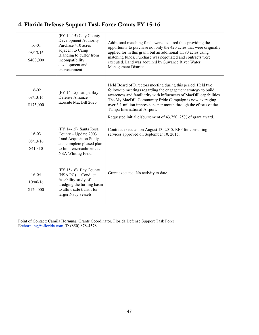| $16-01$<br>08/13/16<br>\$400,000   | (FY 14-15) Clay County<br>Development Authority -<br>Purchase 410 acres<br>adjacent to Camp<br>Blanding to buffer from<br>incompatibility<br>development and<br>encroachment | Additional matching funds were acquired thus providing the<br>opportunity to purchase not only the 420 acres that were originally<br>applied for in this grant, but an additional 1,590 acres using<br>matching funds. Purchase was negotiated and contracts were<br>executed. Land was acquired by Suwanee River Water<br>Management District.                                                                                        |
|------------------------------------|------------------------------------------------------------------------------------------------------------------------------------------------------------------------------|----------------------------------------------------------------------------------------------------------------------------------------------------------------------------------------------------------------------------------------------------------------------------------------------------------------------------------------------------------------------------------------------------------------------------------------|
| $16 - 02$<br>08/13/16<br>\$175,000 | (FY 14-15) Tampa Bay<br>Defense Alliance -<br>Execute MacDill 2025                                                                                                           | Held Board of Directors meeting during this period. Held two<br>follow-up meetings regarding the engagement strategy to build<br>awareness and familiarity with influencers of MacDill capabilities.<br>The My MacDill Community Pride Campaign is now averaging<br>over 3.1 million impressions per month through the efforts of the<br>Tampa International Airport.<br>Requested initial disbursement of 43,750, 25% of grant award. |
| $16 - 03$<br>08/13/16<br>\$41,310  | (FY 14-15) Santa Rosa<br>County - Update 2003<br>Land Acquisition Study<br>and complete phased plan<br>to limit encroachment at<br>NSA Whiting Field                         | Contract executed on August 13, 2015. RFP for consulting<br>services approved on September 10, 2015.                                                                                                                                                                                                                                                                                                                                   |
| $16 - 04$<br>10/06/16<br>\$120,000 | (FY 15-16) Bay County<br>$(NSA PC)$ – Conduct<br>feasibility study of<br>dredging the turning basin<br>to allow safe transit for<br>larger Navy vessels                      | Grant executed. No activity to date.                                                                                                                                                                                                                                                                                                                                                                                                   |

# **4. Florida Defense Support Task Force Grants FY 15-16**

Point of Contact: Camila Hornung, Grants Coordinator, Florida Defense Support Task Force E:chornung@eflorida.com, T: (850) 878-4578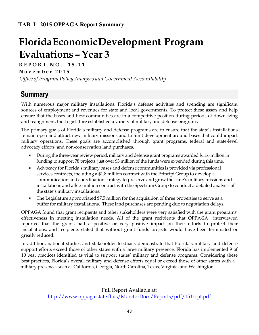# **Florida Economic Development Program Evaluations – Year 3**

**R E P O R T N O . 1 5 - 1 1** 

**N o v e m b e r 201 5**

*Office of Program Policy Analysis and Government Accountability*

# **Summary**

With numerous major military installations, Florida's defense activities and spending are significant sources of employment and revenues for state and local governments. To protect these assets and help ensure that the bases and host communities are in a competitive position during periods of downsizing and realignment, the Legislature established a variety of military and defense programs.

The primary goals of Florida's military and defense programs are to ensure that the state's installations remain open and attract new military missions and to limit development around bases that could impact military operations. These goals are accomplished through grant programs, federal and state-level advocacy efforts, and non-conservation land purchases.

- During the three-year review period, military and defense grant programs awarded \$11.6 million in funding to support 78 projects; just over \$3 million of the funds were expended during this time.
- Advocacy for Florida's military bases and defense communities is provided via professional services contracts, including a \$1.8 million contract with the Principi Group to develop a communication and coordination strategy to preserve and grow the state's military missions and installations and a \$1.6 million contract with the Spectrum Group to conduct a detailed analysis of the state's military installations.
- The Legislature appropriated \$7.5 million for the acquisition of three properties to serve as a buffer for military installations. These land purchases are pending due to negotiation delays.

OPPAGA found that grant recipients and other stakeholders were very satisfied with the grant programs' effectiveness in meeting installation needs. All of the grant recipients that OPPAGA interviewed reported that the grants had a positive or very positive impact on their efforts to protect their installations, and recipients stated that without grant funds projects would have been terminated or greatly reduced.

In addition, national studies and stakeholder feedback demonstrate that Florida's military and defense support efforts exceed those of other states with a large military presence. Florida has implemented 9 of 10 best practices identified as vital to support states' military and defense programs. Considering these best practices, Florida's overall military and defense efforts equal or exceed those of other states with a military presence, such as California, Georgia, North Carolina, Texas, Virginia, and Washington.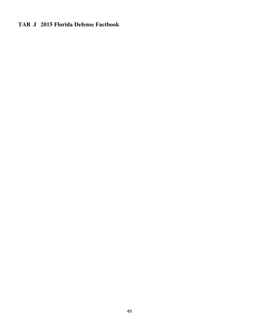## **TAB J 2015 Florida Defense Factbook**